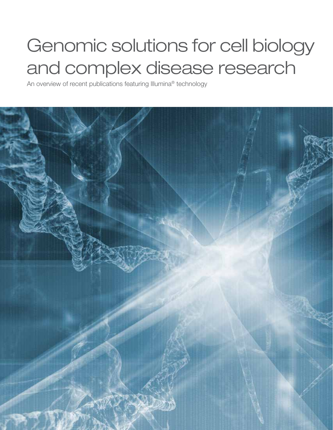# Genomic solutions for cell biology and complex disease research

An overview of recent publications featuring Illumina® technology

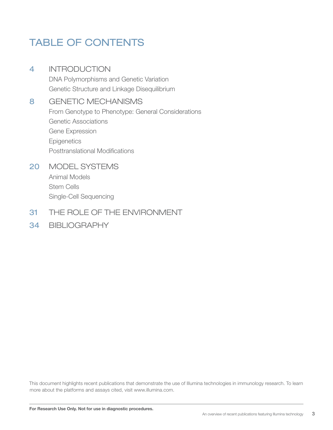### TABLE OF CONTENTS

### 4 INTRODUCTION

DNA Polymorphisms and Genetic Variation Genetic Structure and Linkage Disequilibrium

### 8 GENETIC MECHANISMS

From Genotype to Phenotype: General Considerations Genetic Associations Gene Expression **Epigenetics** Posttranslational Modifications

### 20 MODEL SYSTEMS

Animal Models Stem Cells Single-Cell Sequencing

### 31 THE ROLE OF THE ENVIRONMENT

### 34 BIBLIOGRAPHY

This document highlights recent publications that demonstrate the use of Illumina technologies in immunology research. To learn more about the platforms and assays cited, visit www.illumina.com.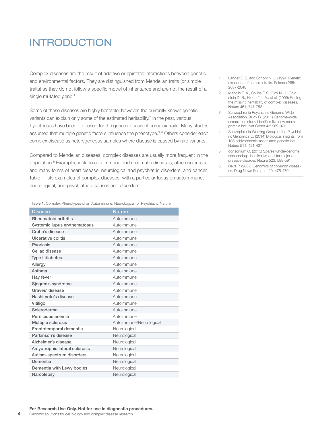### INTRODUCTION

Complex diseases are the result of additive or epistatic interactions between genetic and environmental factors. They are distinguished from Mendelian traits (or simple traits) as they do not follow a specific model of inheritance and are not the result of a single mutated gene.<sup>1</sup>

Some of these diseases are highly heritable; however, the currently known genetic variants can explain only some of the estimated heritability.<sup>2</sup> In the past, various hypotheses have been proposed for the genomic basis of complex traits. Many studies assumed that multiple genetic factors influence the phenotype.3, 4 Others consider each complex disease as heterogeneous samples where disease is caused by rare variants.<sup>5</sup>

Compared to Mendelian diseases, complex diseases are usually more frequent in the population.6 Examples include autoimmune and rheumatic diseases, atherosclerosis and many forms of heart disease, neurological and psychiatric disorders, and cancer. Table 1 lists examples of complex diseases, with a particular focus on autoimmune, neurological, and psychiatric diseases and disorders.

Table 1. Complex Phenotypes of an Autoimmune, Neurological, or Psychiatric Nature

| <b>Disease</b>                | <b>Nature</b>           |  |
|-------------------------------|-------------------------|--|
| <b>Rheumatoid arthritis</b>   | Autoimmune              |  |
| Systemic lupus erythematosus  | Autoimmune              |  |
| Crohn's disease               | Autoimmune              |  |
| Ulcerative colitis            | Autoimmune              |  |
| Psoriasis                     | Autoimmune              |  |
| Celiac disease                | Autoimmune              |  |
| Type I diabetes               | Autoimmune              |  |
| Allergy                       | Autoimmune              |  |
| Asthma                        | Autoimmune              |  |
| Hay fever                     | Autoimmune              |  |
| Sjogren's syndrome            | Autoimmune              |  |
| Graves' disease               | Autoimmune              |  |
| Hashimoto's disease           | Autoimmune              |  |
| Vitiligo                      | Autoimmune              |  |
| Scleroderma                   | Autoimmune              |  |
| Pernicious anemia             | Autoimmune              |  |
| <b>Multiple sclerosis</b>     | Autoimmune/Neurological |  |
| Frontotemporal dementia       | Neurological            |  |
| Parkinson's disease           | Neurological            |  |
| Alzheimer's disease           | Neurological            |  |
| Amyotrophic lateral sclerosis | Neurological            |  |
| Autism-spectrum disorders     | Neurological            |  |
| Dementia                      | Neurological            |  |
| Dementia with Lewy bodies     | Neurological            |  |
| Narcolepsy                    | Neurological            |  |

- 1. Lander E. S. and Schork N. J. (1994) Genetic dissection of complex traits. Science 265: 2037-2048
- 2. Manolio T. A., Collins F. S., Cox N. J., Goldstein D. B., Hindorff L. A., et al. (2009) Finding the missing heritability of complex diseases. Nature 461: 747-753
- 3. Schizophrenia Psychiatric Genome-Wide Association Study C. (2011) Genome-wide association study identifies five new schizophrenia loci. Nat Genet 43: 969-976
- 4. Schizophrenia Working Group of the Psychiatric Genomics C. (2014) Biological insights from 108 schizophrenia-associated genetic loci. Nature 511: 421-427
- 5. consortium C. (2015) Sparse whole-genome sequencing identifies two loci for major depressive disorder. Nature 523: 588-591
- 6. Revill P. (2007) Genomics of common diseases. Drug News Perspect 20: 475-479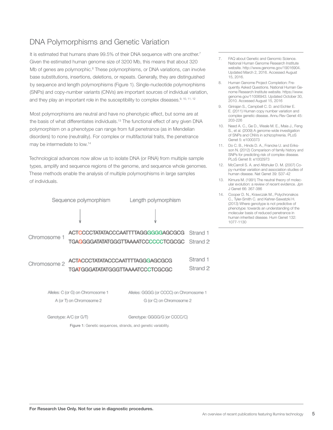### DNA Polymorphisms and Genetic Variation

It is estimated that humans share  $99.5\%$  of their DNA sequence with one another.<sup>7</sup> Given the estimated human genome size of 3200 Mb, this means that about 320 Mb of genes are polymorphic.<sup>8</sup> These polymorphisms, or DNA variations, can involve base substitutions, insertions, deletions, or repeats. Generally, they are distinguished by sequence and length polymorphisms (Figure 1). Single-nucleotide polymorphisms (SNPs) and copy-number variants (CNVs) are important sources of individual variation, and they play an important role in the susceptibility to complex diseases.<sup>9, 10, 11, 12</sup>

Most polymorphisms are neutral and have no phenotypic effect, but some are at the basis of what differentiates individuals.<sup>13</sup> The functional effect of any given DNA polymorphism on a phenotype can range from full penetrance (as in Mendelian disorders) to none (neutrality). For complex or multifactorial traits, the penetrance may be intermediate to low.<sup>14</sup>

Technological advances now allow us to isolate DNA (or RNA) from multiple sample types, amplify and sequence regions of the genome, and sequence whole genomes. These methods enable the analysis of multiple polymorphisms in large samples of individuals.



A (or T) on Chromosome 2 G (or C) on Chromosome 2

Genotype: A/C (or G/T)

Genotype: GGGG/G )or CCCC/C)

Figure 1: Genetic sequences, strands, and genetic variability.

- 7. FAQ about Genetic and Genomic Science. National Human Genome Research Institute website. http://www.genome.gov/19016904. Updated March 2, 2016. Accessed August 15, 2016.
- 8. Human Genome Project Completion: Frequently Asked Questions. National Human Genome Research Institute website. https://www. genome.gov/11006943. Updated October 30, 2010. Accessed August 15, 2016
- 9. Girirajan S., Campbell C. D. and Eichler E. E. (2011) Human copy number variation and complex genetic disease. Annu Rev Genet 45: 203-226
- 10. Need A. C., Ge D., Weale M. E., Maia J., Feng S., et al. (2009) A genome-wide investigation of SNPs and CNVs in schizophrenia. PLoS Genet 5: e1000373
- 11. Do C. B., Hinds D. A., Francke U. and Eriksson N. (2012) Comparison of family history and SNPs for predicting risk of complex disease. PLoS Genet 8: e1002973
- 12. McCarroll S. A. and Altshuler D. M. (2007) Copy-number variation and association studies of human disease. Nat Genet 39: S37-42
- 13. Kimura M. (1991) The neutral theory of molecular evolution: a review of recent evidence. Jpn J Genet 66: 367-386
- 14. Cooper D. N., Krawczak M., Polychronakos C., Tyler-Smith C. and Kehrer-Sawatzki H. (2013) Where genotype is not predictive of phenotype: towards an understanding of the molecular basis of reduced penetrance in human inherited disease. Hum Genet 132: 1077-1130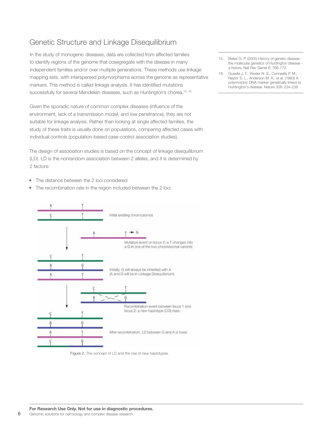### Genetic Structure and Linkage Disequilibrium

In the study of monogenic diseases, data are collected from affected families to identify regions of the genome that cosegregate with the disease in many independent families and/or over multiple generations. These methods use linkage mapping sets, with interspersed polymorphisms across the genome as representative markers. This method is called linkage analysis. It has identified mutations successfully for several Mendelian diseases, such as Huntington's chorea.<sup>15, 16</sup>

Given the sporadic nature of common complex diseases (influence of the environment, lack of a transmission model, and low penetrance), they are not suitable for linkage analysis. Rather than looking at single affected families, the study of these traits is usually done on populations, comparing affected cases with individual controls (population-based case-control association studies).

The design of association studies is based on the concept of linkage disequilibrium (LD). LD is the nonrandom association between 2 alleles, and it is determined by 2 factors:

- The distance between the 2 loci considered
- The recombination rate in the region included between the 2 loci



Figure 2. The concept of LD and the rise of new haplotypes.

- 15. Bates G. P. (2005) History of genetic disease: the molecular genetics of Huntington disease a history. Nat Rev Genet 6: 766-773
- 16. Gusella J. F., Wexler N. S., Conneally P. M., Naylor S. L., Anderson M. A., et al. (1983) A polymorphic DNA marker genetically linked to Huntington's disease. Nature 306: 234-238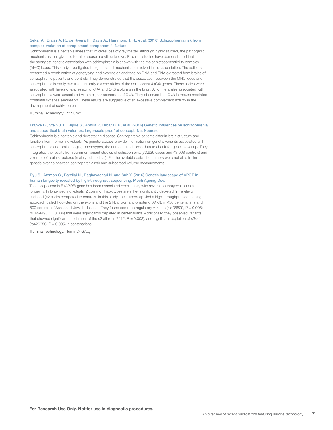### Sekar A., Bialas A. R., de Rivera H., Davis A., Hammond T. R., et al. (2016) Schizophrenia risk from complex variation of complement component 4. Nature.

Schizophrenia is a heritable illness that involves loss of gray matter. Although highly studied, the pathogenic mechanisms that give rise to this disease are still unknown. Previous studies have demonstrated that the strongest genetic association with schizophrenia is shown with the major histocompatibility complex (MHC) locus. This study investigated the genes and mechanisms involved in this association. The authors performed a combination of genotyping and expression analyses on DNA and RNA extracted from brains of schizophrenic patients and controls. They demonstrated that the association between the MHC locus and schizophrenia is partly due to structurally diverse alleles of the component 4 (*C4*) genes. These alleles were associated with levels of expression of *C4A* and *C4B* isoforms in the brain. All of the alleles associated with schizophrenia were associated with a higher expression of *C4A*. They observed that *C4A* in mouse mediated postnatal synapse elimination. These results are suggestive of an excessive complement activity in the development of schizophrenia.

Illumina Technology: Infinium®

### Franke B., Stein J. L., Ripke S., Anttila V., Hibar D. P., et al. (2016) Genetic influences on schizophrenia and subcortical brain volumes: large-scale proof of concept. Nat Neurosci.

Schizophrenia is a heritable and devastating disease. Schizophrenia patients differ in brain structure and function from normal individuals. As genetic studies provide information on genetic variants associated with schizophrenia and brain imaging phenotypes, the authors used these data to check for genetic overlap. They integrated the results from common variant studies of schizophrenia (33,636 cases and 43,008 controls) and volumes of brain structures (mainly subcortical). For the available data, the authors were not able to find a genetic overlap between schizophrenia risk and subcortical volume measurements.

### Ryu S., Atzmon G., Barzilai N., Raghavachari N. and Suh Y. (2016) Genetic landscape of APOE in human longevity revealed by high-throughput sequencing. Mech Ageing Dev.

The apolipoprotein E (*APOE*) gene has been associated consistently with several phenotypes, such as longevity. In long-lived individuals, 2 common haplotypes are either significantly depleted (ɛ4 allele) or enriched ( $\epsilon$ 2 allele) compared to controls. In this study, the authors applied a high-throughput sequencing approach called Pool-Seq on the exons and the 2 kb proximal promoter of *APOE* in 450 centenarians and 500 controls of Ashkenazi Jewish descent. They found common regulatory variants (rs405509, P = 0.006; rs769449, P = 0.036) that were significantly depleted in centenarians. Additionally, they observed variants that showed significant enrichment of the  $\varepsilon$ 2 allele (rs7412, P = 0.003), and significant depletion of  $\varepsilon$ 3/ $\varepsilon$ 4  $(rs429358, P = 0.005)$  in centenarians.

Illumina Technology: Illumina® GA*IIx*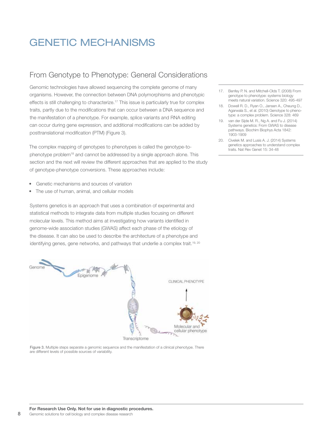### GENETIC MECHANISMS

### From Genotype to Phenotype: General Considerations

Genomic technologies have allowed sequencing the complete genome of many organisms. However, the connection between DNA polymorphisms and phenotypic effects is still challenging to characterize.<sup>17</sup> This issue is particularly true for complex traits, partly due to the modifications that can occur between a DNA sequence and the manifestation of a phenotype. For example, splice variants and RNA editing can occur during gene expression, and additional modifications can be added by posttranslational modification (PTM) (Figure 3).

The complex mapping of genotypes to phenotypes is called the genotype-tophenotype problem<sup>18</sup> and cannot be addressed by a single approach alone. This section and the next will review the different approaches that are applied to the study of genotype-phenotype conversions. These approaches include:

- Genetic mechanisms and sources of variation
- The use of human, animal, and cellular models

Systems genetics is an approach that uses a combination of experimental and statistical methods to integrate data from multiple studies focusing on different molecular levels. This method aims at investigating how variants identified in genome-wide association studies (GWAS) affect each phase of the etiology of the disease. It can also be used to describe the architecture of a phenotype and identifying genes, gene networks, and pathways that underlie a complex trait.<sup>19, 20</sup>



Figure 3. Multiple steps separate a genomic sequence and the manifestation of a clinical phenotype. There are different levels of possible sources of variability.

- 17. Benfey P. N. and Mitchell-Olds T. (2008) From genotype to phenotype: systems biology meets natural variation. Science 320: 495-497
- 18. Dowell R. D., Ryan O., Jansen A., Cheung D., Agarwala S., et al. (2010) Genotype to phenotype: a complex problem. Science 328: 469
- 19. van der Sijde M. R., Ng A. and Fu J. (2014) Systems genetics: From GWAS to disease pathways. Biochim Biophys Acta 1842: 1903-1909
- 20. Civelek M. and Lusis A. J. (2014) Systems genetics approaches to understand complex traits. Nat Rev Genet 15: 34-48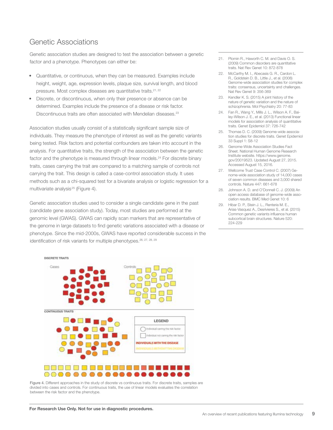### Genetic Associations

Genetic association studies are designed to test the association between a genetic factor and a phenotype. Phenotypes can either be:

- Quantitative, or continuous, when they can be measured. Examples include height, weight, age, expression levels, plaque size, survival length, and blood pressure. Most complex diseases are quantitative traits.<sup>21, 22</sup>
- Discrete, or discontinuous, when only their presence or absence can be determined. Examples include the presence of a disease or risk factor. Discontinuous traits are often associated with Mendelian diseases.<sup>23</sup>

Association studies usually consist of a statistically significant sample size of individuals. They measure the phenotype of interest as well as the genetic variants being tested. Risk factors and potential confounders are taken into account in the analysis. For quantitative traits, the strength of the association between the genetic factor and the phenotype is measured through linear models.<sup>24</sup> For discrete binary traits, cases carrying the trait are compared to a matching sample of controls not carrying the trait. This design is called a case-control association study. It uses methods such as a chi-squared test for a bivariate analysis or logistic regression for a multivariate analysis<sup>25</sup> (Figure 4).

Genetic association studies used to consider a single candidate gene in the past (candidate gene association study). Today, most studies are performed at the genomic level (GWAS). GWAS can rapidly scan markers that are representative of the genome in large datasets to find genetic variations associated with a disease or phenotype. Since the mid-2000s, GWAS have reported considerable success in the identification of risk variants for multiple phenotypes.<sup>26, 27, 28, 29</sup>



Figure 4. Different approaches in the study of discrete vs continuous traits. For discrete traits, samples are divided into cases and controls. For continuous traits, the use of linear models evaluates the correlation between the risk factor and the phenotype.

- 21. Plomin R., Haworth C. M. and Davis O. S. (2009) Common disorders are quantitative traits. Nat Rev Genet 10: 872-878
- 22. McCarthy M. L. Abecasis G. R., Cardon L. R., Goldstein D. B., Little J., et al. (2008) Genome-wide association studies for complex traits: consensus, uncertainty and challenges. Nat Rev Genet 9: 356-369
- 23. Kendler K. S. (2015) A joint history of the nature of genetic variation and the nature of schizophrenia. Mol Psychiatry 20: 77-83
- 24. Fan R., Wang Y., Mills J. L., Wilson A. F., Bailey-Wilson J. E., et al. (2013) Functional linear models for association analysis of quantitative traits. Genet Epidemiol 37: 726-742
- 25. Thomas D. C. (2009) Genome-wide association studies for discrete traits. Genet Epidemiol 33 Suppl 1: S8-12
- 26. Genome-Wide Association Studies Fact Sheet. National Human Genome Research Institute website. https://www.genome. gov/20019523. Updated August 27, 2015. Accessed August 15, 2016.
- 27. Wellcome Trust Case Control C. (2007) Genome-wide association study of 14,000 cases of seven common diseases and 3,000 shared controls. Nature 447: 661-678
- 28. Johnson A. D. and O'Donnell C. J. (2009) An open access database of genome-wide association results. BMC Med Genet 10: 6
- 29. Hibar D. P., Stein J. L., Renteria M. E., Arias-Vasquez A., Desrivieres S., et al. (2015) Common genetic variants influence human subcortical brain structures. Nature 520: 224-229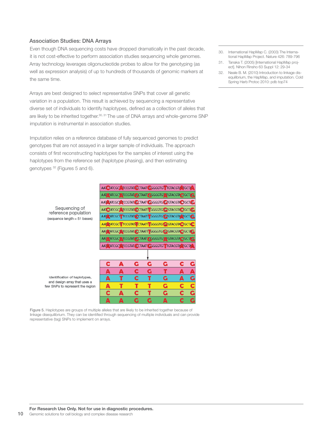### Association Studies: DNA Arrays

Even though DNA sequencing costs have dropped dramatically in the past decade, it is not cost-effective to perform association studies sequencing whole genomes. Array technology leverages oligonucleotide probes to allow for the genotyping (as well as expression analysis) of up to hundreds of thousands of genomic markers at the same time.

Arrays are best designed to select representative SNPs that cover all genetic variation in a population. This result is achieved by sequencing a representative diverse set of individuals to identify haplotypes, defined as a collection of alleles that are likely to be inherited together.<sup>30, 31</sup> The use of DNA arrays and whole-genome SNP imputation is instrumental in association studies.

Imputation relies on a reference database of fully sequenced genomes to predict genotypes that are not assayed in a larger sample of individuals. The approach consists of first reconstructing haplotypes for the samples of interest using the haplotypes from the reference set (haplotype phasing), and then estimating genotypes 32 (Figures 5 and 6).

| AATO ATCGCO ATCCCTATI CCTAATT GGGGTGCGTACGTACTIC     |
|------------------------------------------------------|
| AAT ATCGCT TCCGTAT CCTAATT GGGGTG GTGTACGTA TGCT.G   |
| AAT TATCGCT TCCGTAT/ CTAATT GGGGTGT GTGTACGTA OGCTAC |
| AAT ATCGC ATCCGTAT CCTAATT GGGGTG GTGTACGTA CTCCT/C  |
| AAT TATCGCT TCCGTAT CCTAAT GGGGGTGT TGTACGTA TGCTAG  |
| AAT ATCGC TCCGTAT, CCTAAT GGGGTGT TGTACGTALTGCTA     |

Ġ

Ć

 $\overline{\mathbf{c}}$ 

т

C

Ċ.

G

Ğ

т

Т

Ğ

G

т

Ġ

c

G

С

C

C

r

Ġ

AAT CATCGC ATCCGTAT CCTAAT CGGGGTGT TGTACGTA TGCTA

| Sequencing of                |
|------------------------------|
| reference population         |
| (sequence length = 51 bases) |

Identification of haplotypes, and design array that uses a few SNPs to represent the region

Figure 5. Haplotypes are groups of multiple alleles that are likely to be inherited together because of linkage disequilibrium. They can be identified through sequencing of multiple individuals and can provide representative (tag) SNPs to implement on arrays.

C

Ā

Δ

C

A

Ŧ

т

A

- 30. International HapMap C. (2003) The International HapMap Project. Nature 426: 789-796
- 31. Tanaka T. (2005) [International HapMap project]. Nihon Rinsho 63 Suppl 12: 29-34
- 32. Neale B. M. (2010) Introduction to linkage disequilibrium, the HapMap, and imputation. Cold Spring Harb Protoc 2010: pdb top74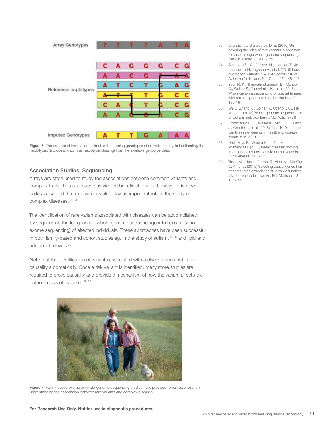

Figure 6. The process of imputation estimates the missing genotypes of an individual by first estimating the haplotypes (a process known as haplotype phasing) from the available genotype data.

### Association Studies: Sequencing

Arrays are often used to study the associations between common variants and complex traits. This approach has yielded beneficial results; however, it is now widely accepted that rare variants also play an important role in the study of complex diseases.<sup>33, 34</sup>

The identification of rare variants associated with diseases can be accomplished by sequencing the full genome (whole-genome sequencing) or full exome (wholeexome sequencing) of affected individuals. These approaches have been successful in both family-based and cohort studies eg, in the study of autism,<sup>35, 36</sup> and lipid and adiponectin levels.37

Note that the identification of variants associated with a disease does not prove causality automatically. Once a risk variant is identified, many more studies are required to prove causality and provide a mechanism of how the variant affects the pathogenesis of disease. 38, 39



Figure 7. Family-based exome or whole-genome sequencing studies have provided remarkable results in understanding the association between rare variants and complex diseases.

- 33. Cirulli E. T. and Goldstein D. B. (2010) Uncovering the roles of rare variants in common disease through whole-genome sequencing. Nat Rev Genet 11: 415-425
- 34. Steinberg S., Stefansson H., Jonsson T., Johannsdottir H., Ingason A., et al. (2015) Lossof-function variants in ABCA7 confer risk of Alzheimer's disease. Nat Genet 47: 445-447
- 35. Yuen R. K., Thiruvahindrapuram B., Merico D., Walker S., Tammimies K., et al. (2015) Whole-genome sequencing of quartet families with autism spectrum disorder. Nat Med 21: 185-191
- 36. Shi L., Zhang X., Golhar R., Otieno F. G., He M., et al. (2013) Whole-genome sequencing in an autism multiplex family. Mol Autism 4: 8
- 37. Consortium U. K., Walter K., Min J. L., Huang J., Crooks L., et al. (2015) The UK10K project identifies rare variants in health and disease. Nature 526: 82-90
- 38. Hrdlickova B., Westra H. J., Franke L. and Wijmenga C. (2011) Celiac disease: moving from genetic associations to causal variants. Clin Genet 80: 203-313
- 39. Tasan M., Musso G., Hao T., Vidal M., MacRae C. A., et al. (2015) Selecting causal genes from genome-wide association studies via functionally coherent subnetworks. Nat Methods 12: 154-159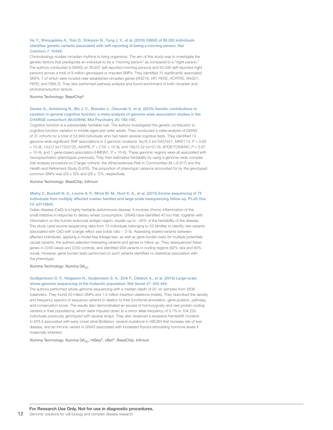### Hu Y., Shmygelska A., Tran D., Eriksson N., Tung J. Y., et al. (2016) GWAS of 89,283 individuals identifies genetic variants associated with self-reporting of being a morning person. Nat Commun 7: 10448.

Chronobiology studies circadian rhythms in living organisms. The aim of this study was to investigate the genetic factors that predispose an individual to be a "morning person" as compared to a "night person." The authors conducted a GWAS on 38,937 self-reported morning persons and 50,346 self-reported night persons across a total of 8 million genotyped or imputed SNPs. They identified 15 significantly associated SNPs, 7 of which were located near established circadian genes (*RGS16*, *VIP*, *PER2*, *HCRTR2*, *RASD1*, *PER3*, and *FBXL3*). They also performed pathway analysis and found enrichment of both circadian and phototransduction factors.

Illumina Technology: BeadChip®

### Davies G., Armstrong N., Bis J. C., Bressler J., Chouraki V., et al. (2015) Genetic contributions to variation in general cognitive function: a meta-analysis of genome-wide association studies in the CHARGE consortium (N=53949). Mol Psychiatry 20: 183-192.

Cognitive function is a substantially heritable trait. The authors investigated the genetic contribution to cognitive function variation in middle-aged and older adults. They conducted a meta-analysis of GWAS of 31 cohorts for a total of 53,949 individuals who had taken several cognitive tests. They identified 13 genome-wide significant SNP associations in 3 genomic locations: 6q16.2 (rs10457441, *MIR2113*, *P* = 3.93 × 10-9), 14q12 (rs17522122, *AKAP6*, *P* = 2.55 × 10-8), and 19q13.32 (rs10119, *APOE/TOMM40*, *P* = 5.67 × 10-9), and 1 gene-based association (HMGN1, *P* = 10-6). These genomic regions were all associated with neuropsychiatric phenotypes previously. They then estimated heritability by using a genome-wide complex trait analysis procedure on 2 larger cohorts, the Atherosclerosis Risk in Communities ( $N = 6,617$ ) and the Health and Retirement Study (5,976). The proportion of phenotypic variance accounted for by the genotyped common SNPs was (29  $\pm$  5)% and (28  $\pm$  7)%, respectively.

Illumina Technology: BeadChip, Infinium

### Mistry V., Bockett N. A., Levine A. P., Mirza M. M., Hunt K. A., et al. (2015) Exome sequencing of 75 individuals from multiply affected coeliac families and large scale resequencing follow up. PLoS One 10: e0116845.

Celiac disease (CeD) is a highly heritable autoimmune disease. It involves chronic inflammation of the small intestine in response to dietary wheat consumption. GWAS have identified 40 loci that, together with information on the human leukocyte antigen region, explain up to ~40% of the heritability of the disease. This study used exome sequencing data from 75 individuals belonging to 55 families to identify rare variants associated with CeD with a larger effect size (odds ratio ~ 2–5). Assessing shared variants between affected individuals, applying a model free linkage test, as well as gene burden tests for multiple potentially causal variants, the authors selected interesting variants and genes to follow up. They resequenced these genes in 2248 cases and 2230 controls, and identified 939 variants in coding regions (92% rare and 60% novel). However, gene burden tests performed on such variants identified no statistical association with the phenotype.

Illumina Technology: Illumina GA*IIx*

### Gudbjartsson D. F., Helgason H., Gudjonsson S. A., Zink F., Oddson A., et al. (2015) Large-scale whole-genome sequencing of the Icelandic population. Nat Genet 47: 435-444.

The authors performed whole-genome sequencing with a median depth of 20´ on samples from 2636 Icelanders. They found 20 million SNPs and 1.5 million insertion-deletions (indels). They described the density and frequency spectra of sequence variants in relation to their functional annotation, gene position, pathway, and conservation score. The results also demonstrated an excess of homozygosity and rare protein-coding variants in their populations, which were imputed down to a minor allele frequency of 0.1% in 104,220 individuals previously genotyped with several arrays. They also observed a recessive frameshift mutation in *MYL4* associated with early-onset atrial fibrillation, several mutations in *ABCB4* that increase risk of liver disease, and an intronic variant in *GNAS* associated with increased thyroid-stimulating hormone levels if maternally inherited.

Illumina Technology: Illumina GA*IIx*, HiSeq®, cBot®, BeadChip, Infinium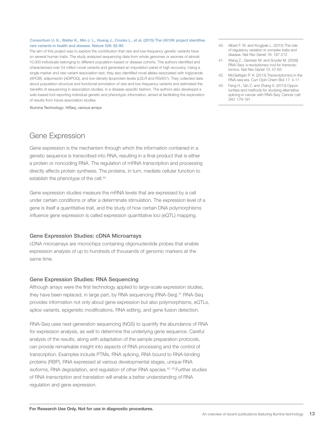### Consortium U. K., Walter K., Min J. L., Huang J., Crooks L., et al. (2015) The UK10K project identifies rare variants in health and disease. Nature 526: 82-90.

The aim of this project was to explore the contribution that rare and low-frequency genetic variants have on several human traits. The study analyzed sequencing data from whole genomes or exomes of almost 10,000 individuals belonging to different population-based or disease cohorts. The authors identified and characterized over 24 million novel variants and generated an imputation panel of high accuracy. Using a single marker and rare variant association test, they also identified novel alleles associated with triglyceride (*APOB*), adiponectin (*ADIPOQ*), and low-density lipoprotein levels (*LDLR* and *RGAG1*). They collected data about population structure and functional annotation of rare and low-frequency variants and estimated the benefits of sequencing in association studies, in a disease-specific fashion. The authors also developed a web-based tool reporting individual genetic and phenotypic information, aimed at facilitating the exploration of results from future association studies.

Illumina Technology: HiSeq, various arrays

### Gene Expression

Gene expression is the mechanism through which the information contained in a genetic sequence is transcribed into RNA, resulting in a final product that is either a protein or noncoding RNA. The regulation of mRNA transcription and processing directly affects protein synthesis. The proteins, in turn, mediate cellular function to establish the phenotype of the cell.<sup>40</sup>

Gene expression studies measure the mRNA levels that are expressed by a cell under certain conditions or after a determinate stimulation. The expression level of a gene is itself a quantitative trait, and the study of how certain DNA polymorphisms influence gene expression is called expression quantitative loci (eQTL) mapping.

### Gene Expression Studies: cDNA Microarrays

cDNA microarrays are microchips containing oligonucleotide probes that enable expression analysis of up to hundreds of thousands of genomic markers at the same time.

### Gene Expression Studies: RNA Sequencing

Although arrays were the first technology applied to large-scale expression studies, they have been replaced, in large part, by RNA sequencing (RNA-Seq).<sup>41</sup> RNA-Seq provides information not only about gene expression but also polymorphisms, eQTLs, splice variants, epigenetic modifications, RNA editing, and gene fusion detection.

RNA-Seq uses next-generation sequencing (NGS) to quantify the abundance of RNA for expression analysis, as well to determine the underlying gene sequence. Careful analysis of the results, along with adaptation of the sample preparation protocols, can provide remarkable insight into aspects of RNA processing and the control of transcription. Examples include PTMs, RNA splicing, RNA bound to RNA-binding proteins (RBP), RNA expressed at various developmental stages, unique RNA isoforms, RNA degradation, and regulation of other RNA species.42, 43 Further studies of RNA transcription and translation will enable a better understanding of RNA regulation and gene expression.

- 40. Albert F. W. and Kruglyak L. (2015) The role of regulatory variation in complex traits and disease. Nat Rev Genet 16: 197-212
- 41. Wang Z., Gerstein M. and Snyder M. (2009) RNA-Seq: a revolutionary tool for transcriptomics. Nat Rev Genet 10: 57-63
- 42. McGettigan P. A. (2013) Transcriptomics in the RNA-seq era. Curr Opin Chem Biol 17: 4-11
- 43. Feng H., Qin Z. and Zhang X. (2013) Opportunities and methods for studying alternative splicing in cancer with RNA-Seq. Cancer Lett 340: 179-191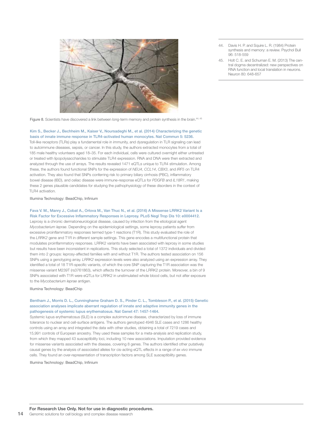

- 44. Davis H. P. and Squire L. R. (1984) Protein synthesis and memory: a review. Psychol Bull 96: 518-559
- 45. Holt C. E. and Schuman E. M. (2013) The central dogma decentralized: new perspectives on RNA function and local translation in neurons. Neuron 80: 648-657

Figure 8. Scientists have discovered a link between long-term memory and protein synthesis in the brain.<sup>44, 45</sup>

### Kim S., Becker J., Bechheim M., Kaiser V., Noursadeghi M., et al. (2014) Characterizing the genetic basis of innate immune response in TLR4-activated human monocytes. Nat Commun 5: 5236.

Toll-like receptors (TLRs) play a fundamental role in immunity, and dysregulation in TLR signaling can lead to autoimmune diseases, sepsis, or cancer. In this study, the authors extracted monocytes from a total of 185 male healthy volunteers aged 18–35. For each individual, cells were cultured overnight either untreated or treated with lipopolysaccharides to stimulate TLR4 expression. RNA and DNA were then extracted and analyzed through the use of arrays. The results revealed 1471 eQTLs unique to TLR4 stimulation. Among these, the authors found functional SNPs for the expression of *NEU4*, *CCL14*, *CBX3*, and *IRF5* on TLR4 activation. They also found that SNPs conferring risk to primary biliary cirrhosis (PBC), inflammatory bowel disease (IBD), and celiac disease were immune-response eQTLs for *PDGFB* and *IL18R1*, making these 2 genes plausible candidates for studying the pathophysiology of these disorders in the context of TLR4 activation.

Illumina Technology: BeadChip, Infinium

### Fava V. M., Manry J., Cobat A., Orlova M., Van Thuc N., et al. (2016) A Missense LRRK2 Variant Is a Risk Factor for Excessive Inflammatory Responses in Leprosy. PLoS Negl Trop Dis 10: e0004412.

Leprosy is a chronic dermatoneurological disease, caused by infection from the etiological agent *Mycobacterium leprae*. Depending on the epidemiological settings, some leprosy patients suffer from excessive proinflammatory responses termed type-1 reactions (T1R). This study evaluated the role of the *LRRK2* gene and T1R in different sample settings. This gene encodes a multifunctional protein that modulates proinflammatory responses. LRRK2 variants have been associated with leprosy in some studies but results have been inconsistent in replications. This study selected a total of 1372 individuals and divided them into 2 groups: leprosy-affected families with and without T1R. The authors tested association on 156 SNPs using a genotyping array. *LRRK2* expression levels were also analyzed using an expression array. They identified a total of 18 T1R-specific variants, of which the core SNP capturing the T1R association was the missense variant M239T (rs3761863), which affects the turnover of the LRRK2 protein. Moreover, a bin of 9 SNPs associated with T1R were eQTLs for LRRK2 in unstimulated whole blood cells, but not after exposure to the *Mycobacterium leprae* antigen.

### Illumina Technology: BeadChip

### Bentham J., Morris D. L., Cunninghame Graham D. S., Pinder C. L., Tombleson P., et al. (2015) Genetic association analyses implicate aberrant regulation of innate and adaptive immunity genes in the pathogenesis of systemic lupus erythematosus. Nat Genet 47: 1457-1464.

Systemic lupus erythematosus (SLE) is a complex autoimmune disease, characterized by loss of immune tolerance to nuclear and cell-surface antigens. The authors genotyped 4946 SLE cases and 1286 healthy controls using an array and integrated the data with other studies, obtaining a total of 7219 cases and 15,991 controls of European ancestry. They used these samples for a meta-analysis and replication study, from which they mapped 43 susceptibility loci, including 10 new associations. Imputation provided evidence for missense variants associated with the disease, covering 8 genes. The authors identified other putatively causal genes by the analysis of associated alleles for cis-acting eQTL effects in a range of *ex vivo* immune cells. They found an over-representation of transcription factors among SLE susceptibility genes.

Illumina Technology: BeadChip, Infinium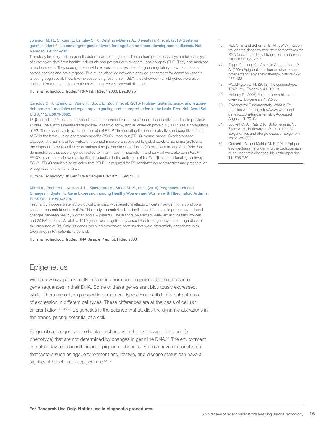### Johnson M. R., Shkura K., Langley S. R., Delahaye-Duriez A., Srivastava P., et al. (2016) Systems genetics identifies a convergent gene network for cognition and neurodevelopmental disease. Nat Neurosci 19: 223-232.

This study investigated the genetic determinants of cognition. The authors performed a system-level analysis of expression data from healthy individuals and patients with temporal-lobe epilepsy (TLE). They also analyzed a murine model. They used genome-wide expression analysis to infer gene-regulatory networks conserved across species and brain regions. Two of the identified networks showed enrichment for common variants affecting cognitive abilities. Exome sequencing results from 6871 trios showed that M3 genes were also enriched for mutations from patients with neurodevelopmental diseases.

Illumina Technology: TruSeq® RNA kit, HiSeq® 2000, BeadChip

### Sareddy G. R., Zhang Q., Wang R., Scott E., Zou Y., et al. (2015) Proline-, glutamic acid-, and leucinerich protein 1 mediates estrogen rapid signaling and neuroprotection in the brain. Proc Natl Acad Sci U S A 112: E6673-6682.

17-β-estradiol (E2) has been implicated as neuroprotective in several neurodegenerative studies. In previous studies, the authors identified the proline-, glutamic acid–, and leucine-rich protein 1 (PELP1) as a coregulator of E2. The present study evaluated the role of PELP1 in mediating the neuroprotective and cognitive effects of E2 in the brain, using a forebrain-specific *PELP1* knockout (FBKO) mouse model. Ovariectomized placebo- and E2-implanted FBKO and control mice were subjected to global cerebral ischemia (GCI), and the hippocampi were collected at various time points after reperfusion (10 min, 30 min, and 3 h). RNA-Seq demonstrated that several genes related to inflammation, metabolism, and survival were altered in *PELP1* FBKO mice. It also showed a significant reduction in the activation of the Wnt/β-catenin signaling pathway. *PELP1* FBKO studies also revealed that PELP1 is required for E2-mediated neuroprotection and preservation of cognitive function after GCI.

Illumina Technology: TruSeq® RNA Sample Prep Kit, HiSeq 2000

### Mittal A., Pachter L., Nelson J. L., Kjaergaard H., Smed M. K., et al. (2015) Pregnancy-Induced Changes in Systemic Gene Expression among Healthy Women and Women with Rheumatoid Arthritis. PLoS One 10: e0145204.

Pregnancy induces systemic biological changes, with beneficial effects on certain autoimmune conditions, such as rheumatoid arthritis (RA). This study characterized, in depth, the differences in pregnancy-induced changes between healthy women and RA patients. The authors performed RNA-Seq in 5 healthy women and 20 RA patients. A total of 4710 genes were significantly associated to pregnancy status, regardless of the presence of RA. Only 98 genes exhibited expression patterns that were differentially associated with pregnancy in RA patients vs controls.

Illumina Technology: TruSeq RNA Sample Prep Kit, HiSeq 2500

### **Epigenetics**

With a few exceptions, cells originating from one organism contain the same gene sequences in their DNA. Some of these genes are ubiquitously expressed, while others are only expressed in certain cell types,<sup>46</sup> or exhibit different patterns of expression in different cell types. These differences are at the basis of cellular differentiation.<sup>47, 48, 49</sup> Epigenetics is the science that studies the dynamic alterations in the transcriptional potential of a cell.

Epigenetic changes can be heritable changes in the expression of a gene (a phenotype) that are not determined by changes in germline DNA.<sup>50</sup> The environment can also play a role in influencing epigenetic changes. Studies have demonstrated that factors such as age, environment and lifestyle, and disease status can have a significant effect on the epigenome.<sup>51, 52</sup>

- 46. Holt C. E. and Schuman E. M. (2013) The central dogma decentralized: new perspectives on RNA function and local translation in neurons. Neuron 80: 648-657
- 47. Egger G., Liang G., Aparicio A. and Jones P. A. (2004) Epigenetics in human disease and prospects for epigenetic therapy. Nature 429: 457-463
- 48. Waddington C. H. (2012) The epigenotype. 1942. Int J Epidemiol 41: 10-13
- 49. Holliday R. (2006) Epigenetics: a historical overview. Epigenetics 1: 76-80
- 50. Epigenetics: Fundamentals. What is Epigenetics webpage. http://www.whatisepigenetics.com/fundamentals/. Accessed August 15, 2016.
- 51. Lockett G. A., Patil V. K., Soto-Ramirez N., Ziyab A. H., Holloway J. W., et al. (2013) Epigenomics and allergic disease. Epigenomics 5: 685-699
- 52. Qureshi I. A. and Mehler M. F. (2014) Epigenetic mechanisms underlying the pathogenesis of neurogenetic diseases. Neurotherapeutics 11: 708-720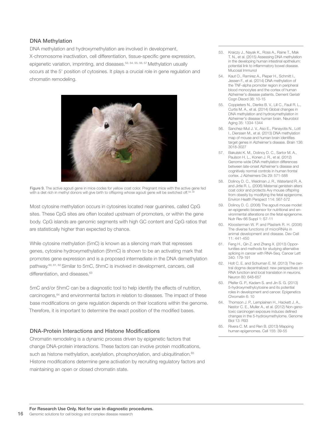### DNA Methylation

DNA methylation and hydroxymethylation are involved in development, X-chromosome inactivation, cell differentiation, tissue-specific gene expression, epigenetic variation, imprinting, and diseases.<sup>53, 54, 55, 56, 57</sup> Methylation usually occurs at the 5' position of cytosines. It plays a crucial role in gene regulation and chromatin remodeling.



Figure 9. The active agouti gene in mice codes for yellow coat color. Pregnant mice with the active gene fed with a diet rich in methyl donors will give birth to offspring whose agouti gene will be switched off.<sup>58,</sup>

Most cytosine methylation occurs in cytosines located near guanines, called CpG sites. These CpG sites are often located upstream of promoters, or within the gene body. CpG islands are genomic segments with high GC content and CpG ratios that are statistically higher than expected by chance.

While cytosine methylation (5mC) is known as a silencing mark that represses genes, cytosine hydroxymethylation (5hmC) is shown to be an activating mark that promotes gene expression and is a proposed intermediate in the DNA demethylation pathway.60, 61, 62 Similar to 5mC, 5hmC is involved in development, cancers, cell differentiation, and diseases.<sup>63</sup>

5mC and/or 5hmC can be a diagnostic tool to help identify the effects of nutrition, carcinogens,<sup>64</sup> and environmental factors in relation to diseases. The impact of these base modifications on gene regulation depends on their locations within the genome. Therefore, it is important to determine the exact position of the modified bases.

### DNA-Protein Interactions and Histone Modifications

Chromatin remodeling is a dynamic process driven by epigenetic factors that change DNA-protein interactions. These factors can involve protein modifications, such as histone methylation, acetylation, phosphorylation, and ubiquitination.<sup>65</sup> Histone modifications determine gene activation by recruiting regulatory factors and maintaining an open or closed chromatin state.

- 53. Kraiczy J., Nayak K., Ross A., Raine T., Mak T. N., et al. (2015) Assessing DNA methylation in the developing human intestinal epithelium: potential link to inflammatory bowel disease. Mucosal Immunol
- 54. Kaut O., Ramirez A., Pieper H., Schmitt I., Jessen F., et al. (2014) DNA methylation of the TNF-alpha promoter region in peripheral blood monocytes and the cortex of human Alzheimer's disease patients. Dement Geriatr Cogn Disord 38: 10-15
- 55. Coppieters N., Dieriks B. V., Lill C., Faull R. L., Curtis M. A., et al. (2014) Global changes in DNA methylation and hydroxymethylation in Alzheimer's disease human brain. Neurobiol Aging 35: 1334-1344
- 56. Sanchez-Mut J. V., Aso E., Panayotis N., Lott I., Dierssen M., et al. (2013) DNA methylation map of mouse and human brain identifies target genes in Alzheimer's disease. Brain 136: 3018-3027
- 57. Bakulski K. M., Dolinoy D. C., Sartor M. A., Paulson H. L., Konen J. R., et al. (2012) Genome-wide DNA methylation differences between late-onset Alzheimer's disease and cognitively normal controls in human frontal cortex. J Alzheimers Dis 29: 571-588
- 58. Dolinoy D. C., Weidman J. R., Waterland R. A. and Jirtle R. L. (2006) Maternal genistein alters coat color and protects Avy mouse offspring from obesity by modifying the fetal epigenome. Environ Health Perspect 114: 567-572
- 59. Dolinoy D. C. (2008) The agouti mouse model: an epigenetic biosensor for nutritional and environmental alterations on the fetal epigenome. Nutr Rev 66 Suppl 1: S7-11
- 60. Kloosterman W. P. and Plasterk R. H. (2006) The diverse functions of microRNAs in animal development and disease. Dev Cell 11: 441-450
- 61. Feng H., Qin Z. and Zhang X. (2013) Opportunities and methods for studying alternative splicing in cancer with RNA-Seq. Cancer Lett 340: 179-191
- 62. Holt C. E. and Schuman E. M. (2013) The central dogma decentralized: new perspectives on RNA function and local translation in neurons. Neuron 80: 648-657
- 63. Pfeifer G. P. Kadam S. and Jin S. G. (2013). 5-hydroxymethylcytosine and its potential roles in development and cancer. Epigenetics Chromatin 6: 10
- 64. Thomson J. P., Lempiainen H., Hackett J. A., Nestor C. E., Muller A., et al. (2012) Non-genotoxic carcinogen exposure induces defined changes in the 5-hydroxymethylome. Genome Biol 13: R93
- 65. Rivera C. M. and Ren B. (2013) Mapping human epigenomes. Cell 155: 39-55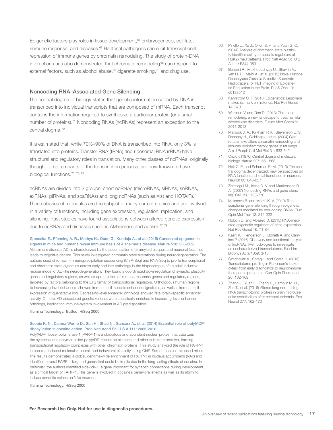Epigenetic factors play roles in tissue development,<sup>66</sup> embryogenesis, cell fate, immune response, and diseases.<sup>67</sup> Bacterial pathogens can elicit transcriptional repression of immune genes by chromatin remodeling. The study of protein-DNA interactions has also demonstrated that chromatin remodeling<sup>68</sup> can respond to external factors, such as alcohol abuse,<sup>69</sup> cigarette smoking,<sup>70</sup> and drug use.

### Noncoding RNA–Associated Gene Silencing

The central dogma of biology states that genetic information coded by DNA is transcribed into individual transcripts that are composed of mRNA. Each transcript contains the information required to synthesize a particular protein (or a small number of proteins).<sup>71</sup> Noncoding RNAs (ncRNAs) represent an exception to the central dogma.<sup>72</sup>

It is estimated that, while 70%–90% of DNA is transcribed into RNA, only 3% is translated into proteins. Transfer RNA (tRNA) and ribosomal RNA (rRNA) have structural and regulatory roles in translation. Many other classes of ncRNAs, originally thought to be remnants of the transcription process, are now known to have biological functions.73, 74, 75

ncRNAs are divided into 2 groups: short ncRNAs (microRNAs, siRNAs, snRNAs, exRNAs, piRNAs, and scaRNAs) and long ncRNAs (such as Xist and HOTAIR).<sup>76</sup> These classes of molecules are the subject of many current studies and are involved in a variety of functions, including gene expression, regulation, replication, and silencing. Past studies have found associations between altered genetic expression due to ncRNAs and diseases such as Alzheimer's and autism.<sup>77, 78</sup>

#### Gjoneska E., Pfenning A. R., Mathys H., Quon G., Kundaje A., et al. (2015) Conserved epigenomic signals in mice and humans reveal immune basis of Alzheimer's disease. Nature 518: 365-369.

Alzheimer's disease (AD) is characterized by the accumulation of β-amyloid plaques and neuronal loss that leads to cognitive decline. This study investigated chromatin state alterations during neurodegeneration. The authors used chromatin-immunoprecipitation sequencing (ChIP-Seq) and RNA-Seq to profile transcriptional and chromatin state dynamics across early and late pathology in the hippocampus of an adult induciblemouse model of AD-like neurodegeneration. They found a coordinated downregulation of synaptic plasticity genes and regulatory regions, as well as upregulation of immune response genes and regulatory regions, targeted by factors belonging to the ETS family of transcriptional regulators. Orthologous human regions to increasing-level enhancers showed immune cell–specific enhancer signatures, as well as immune cell expression of quantitative loci. Decreasing-level enhancer orthologs showed fetal brain–specific enhancer activity. Of note, AD-associated genetic variants were specifically enriched in increasing-level enhancer orthologs, implicating immune-system involvement in AD predisposition.

Illumina Technology: TruSeq, HiSeq 2000

### Scobie K. N., Damez-Werno D., Sun H., Shao N., Gancarz A., et al. (2014) Essential role of poly(ADPribosyl)ation in cocaine action. Proc Natl Acad Sci U S A 111: 2005-2010.

Poly(ADP-ribose) polymerase 1 (PARP-1) is a ubiquitous and abundant nuclear protein that catalyzes the synthesis of a polymer called poly(ADP-ribose) on histones and other substrate proteins, forming transcriptional regulatory complexes with other chromatin proteins. This study analyzed the role of PARP-1 in cocaine-induced molecular, neural, and behavioral plasticity, using ChIP-Seq on cocaine-exposed mice. The results demonstrated a global, genome-wide enrichment of PARP-1 in nucleus accumbens (NAc) and identified several PARP-1 targeted genes that could be implicated in the long-lasting effects of cocaine. In particular, the authors identified sidekick-1, a gene important for synaptic connections during development, as a critical target of PARP-1. This gene is involved in cocaine's behavioral effects as well as its ability to induce dendritic spines on NAc neurons.

Illumina Technology: HiSeq 2000

- 66. Pinello L., Xu J., Orkin S. H. and Yuan G. C. (2014) Analysis of chromatin-state plasticity identifies cell-type-specific regulators of H3K27me3 patterns. Proc Natl Acad Sci U S A 111: E344-353
- 67. Bonomi R., Mukhopadhyay U., Shavrin A., Yeh H. H., Majhi A., et al. (2015) Novel Histone Deacetylase Class IIa Selective Substrate Radiotracers for PET Imaging of Epigenetic Regulation in the Brain. PLoS One 10: e0133512
- 68. Kahrstrom C. T. (2013) Epigenetics: Legionella makes its mark on histones. Nat Rev Genet 14: 370
- 69. Warnault V. and Ron D. (2013) Chromatin remodeling: a new landscape to treat harmful alcohol-use disorders. Future Med Chem 5: 2011-2013
- 70. Marwick J. A., Kirkham P. A., Stevenson C. S., Danahay H., Giddings J., et al. (2004) Cigarette smoke alters chromatin remodeling and induces proinflammatory genes in rat lungs. Am J Respir Cell Mol Biol 31: 633-642
- 71. Crick F. (1970) Central dogma of molecular biology. Nature 227: 561-563
- 72. Holt C. E. and Schuman E. M. (2013) The central dogma decentralized: new perspectives on RNA function and local translation in neurons. Neuron 80: 648-657
- 73. Zaratiegui M., Irvine D. V. and Martienssen R. A. (2007) Noncoding RNAs and gene silencing. Cell 128: 763-776
- 74. Malecova B. and Morris K. V. (2010) Transcriptional gene silencing through epigenetic changes mediated by non-coding RNAs. Curr Opin Mol Ther 12: 214-222
- 75. Holoch D. and Moazed D. (2015) RNA-mediated epigenetic regulation of gene expression. Nat Rev Genet 16: 71-84
- 76. Kashi K., Henderson L., Bonetti A. and Carninci P. (2016) Discovery and functional analysis of lncRNAs: Methodologies to investigate an uncharacterized transcriptome. Biochim Biophys Acta 1859: 3-15
- 77. Simchovitz A., Soreq L. and Soreq H. (2016) Transcriptome profiling in Parkinson's leukocytes: from early diagnostics to neuroimmune therapeutic prospects. Curr Opin Pharmacol 26: 102-109
- 78. Zhang J., Yuan L., Zhang X., Hamblin M. H., Zhu T., et al. (2016) Altered long non-coding RNA transcriptomic profiles in brain microvascular endothelium after cerebral ischemia. Exp Neurol 277: 162-170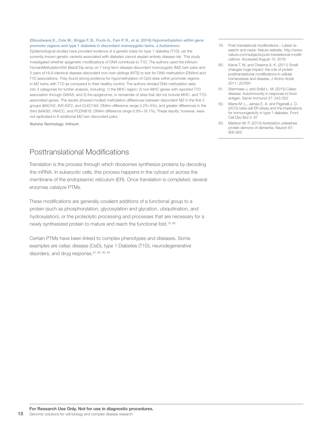### Elboudwarej E., Cole M., Briggs F. B., Fouts A., Fain P. R., et al. (2016) Hypomethylation within gene promoter regions and type 1 diabetes in discordant monozygotic twins. J Autoimmun.

Epidemiological studies have provided evidence of a genetic basis for type 1 diabetes (T1D), yet the currently known genetic variants associated with diabetes cannot explain entirely disease risk. This study investigated whether epigenetic modifications of DNA contribute to T1D. The authors used the Infinium HumanMethylation450 BeadChip array on 7 long-term disease-discordant monozygotic (MZ) twin pairs and 5 pairs of HLA-identical disease-discordant non–twin siblings (NTS) to test for DNA methylation (DNAm) and T1D associations. They found strong evidence for hypomethylation of CpG sites within promoter regions in MZ twins with T1D as compared to their healthy control. The authors divided DNA methylation data into 3 categories for further analysis, including: 1) the MHC region; 2) non-MHC genes with reported T1D association through GWAS; and 3) the epigenome, or remainder of sites that did not include MHC- and T1Dassociated genes. The results showed modest methylation differences between discordant MZ in the first 2 groups (*BACH2*, *INS-IGF2*, and *CLEC16A*, DNAm difference range 2.2%–5%), and greater differences in the third (*MAGI2*, *FANCC*, and *PCDHB16*, DNAm difference range 6.9%–16.1%). These results, however, were not replicated in 6 additional MZ twin discordant pairs.

Illumina Technology: Infinium

### Posttranslational Modifications

Translation is the process through which ribosomes synthesize proteins by decoding the mRNA. In eukaryotic cells, this process happens in the cytosol or across the membrane of the endoplasmic reticulum (ER). Once translation is completed, several enzymes catalyze PTMs.

These modifications are generally covalent additions of a functional group to a protein (such as phosphorylation, glycosylation and glycation, ubiquitination, and hydroxylation), or the proteolytic processing and processes that are necessary for a newly synthesized protein to mature and reach the functional fold.<sup>79, 80</sup>

Certain PTMs have been linked to complex phenotypes and diseases. Some examples are celiac disease (CeD), type 1 Diabetes (T1D), neurodegenerative disorders, and drug response. 81, 82, 83, 84

- 79. Post-translational modifications Latest research and news. Nature website. http://www. nature.com/subjects/post-translational-modifications. Accessed August 15, 2016
- 80. Karve T. M. and Cheema A. K. (2011) Small changes huge impact: the role of protein posttranslational modifications in cellular homeostasis and disease. J Amino Acids 2011: 207691
- 81. Stamnaes J. and Sollid L. M. (2015) Celiac disease: Autoimmunity in response to food antigen. Semin Immunol 27: 343-352
- 82. Marre M. L., James E. A. and Piganelli J. D. (2015) beta cell ER stress and the implications for immunogenicity in type 1 diabetes. Front Cell Dev Biol 3: 67
- 83. Mattson M. P. (2010) Acetylation unleashes protein demons of dementia. Neuron 67: 900-902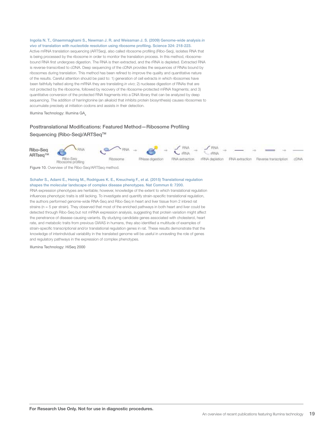### Ingolia N. T., Ghaemmaghami S., Newman J. R. and Weissman J. S. (2009) Genome-wide analysis *in vivo* of translation with nucleotide resolution using ribosome profiling. Science 324: 218-223.

Active mRNA translation sequencing (ARTSeq), also called ribosome profiling (Ribo-Seq), isolates RNA that is being processed by the ribosome in order to monitor the translation process. In this method, ribosomebound RNA first undergoes digestion. The RNA is then extracted, and the rRNA is depleted. Extracted RNA is reverse-transcribed to cDNA. Deep sequencing of the cDNA provides the sequences of RNAs bound by ribosomes during translation. This method has been refined to improve the quality and quantitative nature of the results. Careful attention should be paid to: 1) generation of cell extracts in which ribosomes have been faithfully halted along the mRNA they are translating *in vivo*; 2) nuclease digestion of RNAs that are not protected by the ribosome, followed by recovery of the ribosome-protected mRNA fragments; and 3) quantitative conversion of the protected RNA fragments into a DNA library that can be analyzed by deep sequencing. The addition of harringtonine (an alkaloid that inhibits protein biosynthesis) causes ribosomes to accumulate precisely at initiation codons and assists in their detection.

Illumina Technology: Illumina GA<sub>II</sub>

### Posttranslational Modifications: Featured Method—Ribosome Profiling Sequencing (Ribo-Seq)/ARTSeq™



Figure 10. Overview of the Ribo-Seq/ARTSeq method.

### Schafer S., Adami E., Heinig M., Rodrigues K. E., Kreuchwig F., et al. (2015) Translational regulation shapes the molecular landscape of complex disease phenotypes. Nat Commun 6: 7200.

RNA expression phenotypes are heritable; however, knowledge of the extent to which translational regulation influences phenotypic traits is still lacking. To investigate and quantify strain-specific translational regulation, the authors performed genome-wide RNA-Seq and Ribo-Seq in heart and liver tissue from 2 inbred rat strains (n = 5 per strain). They observed that most of the enriched pathways in both heart and liver could be detected through Ribo-Seq but not mRNA expression analysis, suggesting that protein variation might affect the penetrance of disease-causing variants. By studying candidate genes associated with cholesterol, heart rate, and metabolic traits from previous GWAS in humans, they also identified a multitude of examples of strain-specific transcriptional and/or translational regulation genes in rat. These results demonstrate that the knowledge of interindividual variability in the translated genome will be useful in unraveling the role of genes and regulatory pathways in the expression of complex phenotypes.

Illumina Technology: HiSeq 2000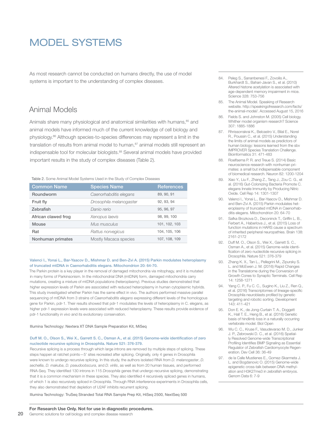### MODEL SYSTEMS

As most research cannot be conducted on humans directly, the use of model systems is important to the understanding of complex diseases.

### Animal Models

Animals share many physiological and anatomical similarities with humans, 85 and animal models have informed much of the current knowledge of cell biology and physiology.<sup>86</sup> Although species-to-species differences may represent a limit in the translation of results from animal model to human,<sup>87</sup> animal models still represent an indispensable tool for molecular biologists.<sup>88</sup> Several animal models have provided important results in the study of complex diseases (Table 2).

Table 2. Some Animal Model Systems Used in the Study of Complex Diseases

| <b>Common Name</b>  | <b>Species Name</b>     | <b>References</b> |
|---------------------|-------------------------|-------------------|
| Roundworm           | Caenorhabditis elegans  | 89, 90, 91        |
| Fruit fly           | Drosophila melanogaster | 92, 93, 94        |
| Zebrafish           | Danio rerio             | 95, 96, 97        |
| African clawed frog | Xenopus laevis          | 98, 99, 100       |
| Mouse               | Mus musculus            | 101, 102, 103     |
| Rat                 | Rattus norvegicus       | 104, 105, 106     |
| Nonhuman primates   | Mostly Macaca species   | 107, 108, 109     |

### Valenci I., Yonai L., Bar-Yaacov D., Mishmar D. and Ben-Zvi A. (2015) Parkin modulates heteroplasmy of truncated mtDNA in Caenorhabditis elegans. Mitochondrion 20: 64-70.

The Parkin protein is a key player in the removal of damaged mitochondria via mitophagy, and it is mutated in many forms of Parkinsonism. In the mitochondrial DNA (mtDNA) form, damaged mitochondria carry mutations, creating a mixture of mtDNA populations (heteroplasmy). Previous studies demonstrated that higher expression levels of Parkin are associated with reduced heteroplasmy in human cytoplasmic hybrids. This study investigated whether Parkin has the same effect in vivo. The authors performed massive parallel sequencing of mtDNA from 3 strains of *Caenorhabditis elegans* expressing different levels of the homologous gene for Parkin, pdr-1. Their results showed that pdr-1 modulates the levels of heteroplasmy in C. elegans, as higher pdr-1 expression levels were associated with reduced heteroplasmy. These results provide evidence of pdr-1 functionality *in vivo* and its evolutionary conservation.

### Illumina Technology: Nextera XT DNA Sample Preparation Kit, MiSeq

### Duff M. O., Olson S., Wei X., Garrett S. C., Osman A., et al. (2015) Genome-wide identification of zero nucleotide recursive splicing in Drosophila. Nature 521: 376-379.

Recursive splicing is a process through which large introns are removed by multiple steps of splicing. These steps happen at ratchet points-5' sites recreated after splicing. Originally, only 4 genes in Drosophila were known to undergo recursive splicing. In this study, the authors isolated RNA from *D. melanogaster*, *D. sechellia*, *D. makuba*, *D. pseudoobscura*, and *D. virilis*, as well as from 20 human tissues, and performed RNA-Seq. They identified 130 introns in 115 *Drosophila* genes that undergo recursive splicing, demonstrating that it is a common mechanism in these species. They also identified 4 recursively spliced genes in humans, of which 1 is also recursively spliced in Drosophila. Through RNA interference experiments in Drosophila cells, they also demonstrated that depletion of U2AF inhibits recurrent splicing.

Illumina Technology: TruSeq Stranded Total RNA Sample Prep Kit, HiSeq 2500, NextSeq 500

- 84. Peleg S., Sananbenesi F., Zovoilis A., Burkhardt S., Bahari-Javan S., et al. (2010) Altered histone acetylation is associated with age-dependent memory impairment in mice. Science 328: 753-756
- 85. The Animal Model. Speaking of Research website. http://speakingofresearch.com/facts/ the-animal-model/. Accessed August 15, 2016
- 86. Fields S. and Johnston M. (2005) Cell biology. Whither model organism research? Science 307: 1885-1886
- 87. Rhrissorrakrai K., Belcastro V., Bilal E., Norel R., Poussin C., et al. (2015) Understanding the limits of animal models as predictors of human biology: lessons learned from the sbv IMPROVER Species Translation Challenge. Bioinformatics 31: 471-483
- 88. Roelfsema P. R. and Treue S. (2014) Basic neuroscience research with nonhuman primates: a small but indispensable component of biomedical research. Neuron 82: 1200-1204
- 89. Xiao Y., Liu F., Zhang Z., Tang J., Zou C. G., et al. (2016) Gut-Colonizing Bacteria Promote C. elegans Innate Immunity by Producing Nitric Oxide. Cell Rep 14: 1301-1307
- 90. Valenci I., Yonai L., Bar-Yaacov D., Mishmar D. and Ben-Zvi A. (2015) Parkin modulates heteroplasmy of truncated mtDNA in Caenorhabditis elegans. Mitochondrion 20: 64-70
- 91. Safka Brozkova D., Deconinck T., Griffin L. B., Ferbert A., Haberlova J., et al. (2015) Loss of function mutations in HARS cause a spectrum of inherited peripheral neuropathies. Brain 138: 2161-2172
- 92. Duff M. O., Olson S., Wei X., Garrett S. C., Osman A., et al. (2015) Genome-wide identification of zero nucleotide recursive splicing in Drosophila. Nature 521: 376-379
- 93. Zhang K. X., Tan L., Pellegrini M., Zipursky S. L. and McEwen J. M. (2016) Rapid Changes in the Translatome during the Conversion of Growth Cones to Synaptic Terminals. Cell Rep 14: 1258-1271
- 94. Yang C. P., Fu C. C., Sugino K., Liu Z., Ren Q., et al. (2016) Transcriptomes of lineage-specific Drosophila neuroblasts profiled by genetic targeting and robotic sorting. Development 143: 411-421
- 95. Don E. K., de Jong-Curtain T. A., Doggett K., Hall T. E., Heng B., et al. (2016) Genetic basis of hindlimb loss in a naturally occurring vertebrate model. Biol Open
- 96. Wu C. C., Kruse F., Vasudevarao M. D., Junker J. P., Zebrowski D. C., et al. (2016) Spatially Resolved Genome-wide Transcriptional Profiling Identifies BMP Signaling as Essential Regulator of Zebrafish Cardiomyocyte Regeneration. Dev Cell 36: 36-49
- 97. de la Calle Mustienes E., Gomez-Skarmeta J. L. and Bogdanovic O. (2015) Genome-wide epigenetic cross-talk between DNA methylation and H3K27me3 in zebrafish embryos. Genom Data 6: 7-9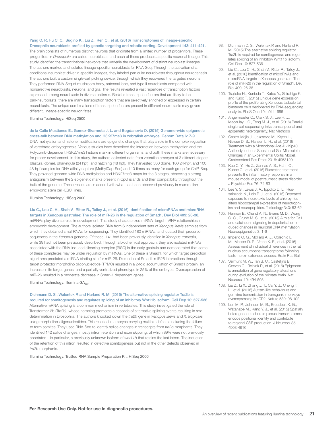Yang C. P., Fu C. C., Sugino K., Liu Z., Ren Q., et al. (2016) Transcriptomes of lineage-specific Drosophila neuroblasts profiled by genetic targeting and robotic sorting. Development 143: 411-421.

The brain consists of numerous distinct neurons that originate from a limited number of progenitors. These progenitors in *Drosophila* are called neuroblasts, and each of these produces a specific neuronal lineage. This study identified the transcriptional networks that underlie the development of distinct neuroblast lineages. The authors marked and isolated lineage-specific neuroblasts for RNA-Seq. Through the activation of a conditional neuroblast driver in specific lineages, they labeled particular neuroblasts throughout neurogenesis. The authors built a custom single-cell picking device, through which they recovered the targeted neurons. They performed RNA-Seq of mushroom body, antennal lobe, and type II neuroblasts compared with nonselective neuroblasts, neurons, and glia. The results revealed a vast repertoire of transcription factors expressed among neuroblasts in diverse patterns. Besides transcription factors that are likely to be pan-neuroblasts, there are many transcription factors that are selectively enriched or expressed in certain neuroblasts. The unique combinations of transcription factors present in different neuroblasts may govern different, lineage-specific neuron fates.

Illumina Technology: HiSeq 2500

### de la Calle Mustienes E., Gomez-Skarmeta J. L. and Bogdanovic O. (2015) Genome-wide epigenetic cross-talk between DNA methylation and H3K27me3 in zebrafish embryos. Genom Data 6: 7-9.

DNA methylation and histone modifications are epigenetic changes that play a role in the complex regulation of vertebrate embryogenesis. Various studies have described the interaction between methylation and the Polycomb-dependent H3K27me3 histone mark in different organisms, and both these marks are necessary for proper development. In this study, the authors collected data from zebrafish embryos at 3 different stages: blastula (dome), pharyngula (24 hpf), and hatching (48 hpf). They harvested 500 dome, 100 24-hpf, and 100 48-hpf samples for DNA affinity capture (MethylCap-Seq) and 10 times as many for each group for ChIP-Seq. They provided genome-wide DNA methylation and H3K27me3 maps for the 3 stages, observing a strong antagonism between the 2 epigenetic marks present in CpG islands and their compatibility throughout the bulk of the genome. These results are in accord with what has been observed previously in mammalian embryonic stem cell (ESC) lines.

Illumina Technology: HiSeq 2000

### Liu C., Lou C. H., Shah V., Ritter R., Talley J., et al. (2016) Identification of microRNAs and microRNA

targets in Xenopus gastrulae: The role of miR-26 in the regulation of Smad1. Dev Biol 409: 26-38. miRNAs play diverse roles in development. This study characterized miRNA–target mRNA relationships in embryonic development. The authors isolated RNA from 6 independent sets of *Xenopus laevis* samples from which they obtained small RNAs for sequencing. They identified 180 miRNAs, and located their precursor sequences in the *Xenopus* genome. Of these, 141 had been previously identified in *Xenopus tropicalis*, while 39 had not been previously described. Through a biochemical approach, they also isolated miRNAs associated with the RNA-induced silencing complex (RISC) in the early gastrula and demonstrated that some of these complexes may be under regulation by miRNAs. One of these is Smad1, for which target prediction algorithms predicted a miRNA binding site for miR-26. Disruption of Smad1-miR26 interactions through target protector morpholino oligonucleotide (TPMO) resulted in a 2-fold accumulation of Smad1 protein, an increase in its target genes, and a partially ventralized phenotype in 25% of the embryos. Overexpression of miR-26 resulted in a moderate decrease in Smad-1 dependent genes.

#### Illumina Technology: Illumina GA*IIx*

### Dichmann D. S., Walentek P. and Harland R. M. (2015) The alternative splicing regulator Tra2b is required for somitogenesis and regulates splicing of an inhibitory Wnt11b isoform. Cell Rep 10: 527-536.

Alternative mRNA splicing is a common mechanism in vertebrates. This study investigated the role of Transformer-2b (Tra2b), whose homolog promotes a cascade of alternative splicing events resulting in sex determination in Drosophila. The authors knocked down the *tra2b* gene in *Xenopus laevis* and *X. tropicalis* using morpholino-oligonucleotides. This resulted in embryos carrying multiple defects, including the failure to form somites. They used RNA-Seq to identify splice changes in transcripts from *tra2b* morphants. They identified 142 splice changes, mostly intron retention and exon skipping, of which 89% were not previously annotated—in particular, a previously unknown isoform of *wnt11b* that retains the last intron. The induction of the retention of this intron resulted in defective somitogenesis but not in the other defects observed in *tra2b* morphants.

Illumina Technology: TruSeq RNA Sample Preparation Kit, HiSeq 2000

- 98. Dichmann D. S., Walentek P. and Harland R. M. (2015) The alternative splicing regulator Tra2b is required for somitogenesis and regulates splicing of an inhibitory Wnt11b isoform. Cell Rep 10: 527-536
- 99. Liu C., Lou C. H., Shah V., Ritter R., Talley J., et al. (2016) Identification of microRNAs and microRNA targets in Xenopus gastrulae: The role of miR-26 in the regulation of Smad1. Dev Biol 409: 26-38
- 100. Tsujioka H., Kunieda T., Katou Y., Shirahige K. and Kubo T. (2015) Unique gene expression profile of the proliferating Xenopus tadpole tail blastema cells deciphered by RNA-sequencing analysis. PLoS One 10: e0111655
- 101. Angermueller C., Clark S. J., Lee H. J., Macaulay I. C., Teng M. J., et al. (2016) Parallel single-cell sequencing links transcriptional and epigenetic heterogeneity. Nat Methods
- 102. Castro-Mejia J., Jakesevic M., Krych L., Nielsen D. S., Hansen L. H., et al. (2016) Treatment with a Monoclonal Anti-IL-12p40 Antibody Induces Substantial Gut Microbiota Changes in an Experimental Colitis Model. Gastroenterol Res Pract 2016: 4953120
- 103. Kao C. Y., He Z., Zannas A. S., Hahn O., Kuhne C., et al. (2016) Fluoxetine treatment prevents the inflammatory response in a mouse model of posttraumatic stress disorder. J Psychiatr Res 76: 74-83
- 104. Lee Y. S., Lewis J. A., Ippolito D. L., Hussainzada N., Lein P. J., et al. (2016) Repeated exposure to neurotoxic levels of chlorpyrifos alters hippocampal expression of neurotrophins and neuropeptides. Toxicology 340: 53-62
- 105. Hannon E., Chand A. N., Evans M. D., Wong C. C., Grubb M. S., et al. (2015) A role for Ca1 and calcineurin signaling in depolarization-induced changes in neuronal DNA methylation. Neuroepigenetics 3: 1-6
- 106. Imperio C. G., McFalls A. J., Colechio E. M., Masser D. R., Vrana K. E., et al. (2015) Assessment of individual differences in the rat nucleus accumbens transcriptome following taste-heroin extended access. Brain Res Bull
- 107. Vermunt M. W., Tan S. C., Castelijns B., Geeven G., Reinink P., et al. (2016) Epigenomic annotation of gene regulatory alterations during evolution of the primate brain. Nat Neurosci 19: 494-503
- 108. Liu Z., Li X., Zhang J. T., Cai Y. J., Cheng T. L., et al. (2016) Autism-like behaviours and germline transmission in transgenic monkeys overexpressing MeCP2. Nature 530: 98-102
- 109. Lun M. P., Johnson M. B., Broadbelt K. G., Watanabe M., Kang Y. J., et al. (2015) Spatially heterogeneous choroid plexus transcriptomes encode positional identity and contribute to regional CSF production. J Neurosci 35: 4903-4916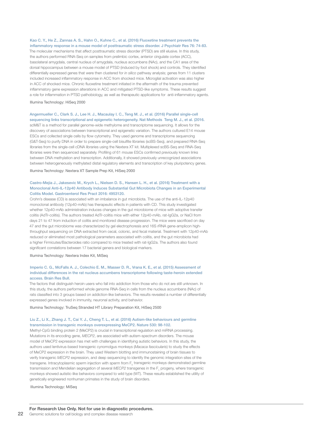Kao C. Y., He Z., Zannas A. S., Hahn O., Kuhne C., et al. (2016) Fluoxetine treatment prevents the inflammatory response in a mouse model of posttraumatic stress disorder. J Psychiatr Res 76: 74-83.

The molecular mechanisms that affect posttraumatic stress disorder (PTSD) are still elusive. In this study, the authors performed RNA-Seq on samples from prelimbic cortex, anterior cingulate cortex (ACC), basolateral amygdala, central nucleus of amygdala, nucleus accumbens (NAc), and the CA1 area of the dorsal hippocampus between a mouse model of PTSD (induced by foot shock) and controls. They identified differentially expressed genes that were then clustered for *in silico* pathway analysis; genes from 11 clusters included increased inflammatory response in ACC from shocked mice. Microglial activation was also higher in ACC of shocked mice. Chronic fluoxetine treatment initiated in the aftermath of the trauma prevented inflammatory gene expression alterations in ACC and mitigated PTSD-like symptoms. These results suggest a role for inflammation in PTSD pathobiology, as well as therapeutic applications for anti-inflammatory agents.

#### Illumina Technology: HiSeq 2000

### Angermueller C., Clark S. J., Lee H. J., Macaulay I. C., Teng M. J., et al. (2016) Parallel single-cell sequencing links transcriptional and epigenetic heterogeneity. Nat Methods Teng M. J., et al. (2016.

scM&T is a method for parallel genome-wide methylome and transcriptome sequencing. It allows for the discovery of associations between transcriptional and epigenetic variation. The authors cultured E14 mouse ESCs and collected single cells by flow cytometry. They used genome and transcriptome sequencing (G&T-Seq) to purify DNA in order to prepare single-cell bisulfite libraries (scBS-Seq), and prepared RNA-Seq libraries from the single-cell cDNA libraries using the Nextera XT kit. Multiplexed scBS-Seq and RNA-Seq libraries were then sequenced separately. Profiling of 61 mouse ESCs confirmed previously known links between DNA methylation and transcription. Additionally, it showed previously unrecognized associations between heterogeneously methylated distal regulatory elements and transcription of key pluripotency genes.

Illumina Technology: Nextera XT Sample Prep Kit, HiSeq 2000

### Castro-Mejia J., Jakesevic M., Krych L., Nielsen D. S., Hansen L. H., et al. (2016) Treatment with a Monoclonal Anti-IL-12p40 Antibody Induces Substantial Gut Microbiota Changes in an Experimental Colitis Model. Gastroenterol Res Pract 2016: 4953120.

Crohn's disease (CD) is associated with an imbalance in gut microbiota. The use of the anti-IL-12p40 monoclonal antibody (12p40-mAb) has therapeutic effects in patients with CD. This study investigated whether 12p40-mAb administration induces changes in the gut microbiome of mice with adoptive transfer colitis (AdTr-colitis). The authors treated AdTr-colitis mice with either 12p40-mAb, rat-IgG2a, or NaCl from days 21 to 47 from induction of colitis and monitored disease progression. The mice were sacrificed on day 47 and the gut microbiome was characterized by gel electrophoresis and 16S rRNA gene-amplicon highthroughput sequencing on DNA extracted from cecal, colonic, and fecal material. Treatment with 12p40-mAb reduced or eliminated most pathological parameters associated with colitis, and the gut microbiota had a higher Firmicutes/Bacteroides ratio compared to mice treated with rat-IgG2a. The authors also found significant correlations between 17 bacterial genera and biological markers.

Illumina Technology: Nextera Index Kit, MiSeq

### Imperio C. G., McFalls A. J., Colechio E. M., Masser D. R., Vrana K. E., et al. (2015) Assessment of individual differences in the rat nucleus accumbens transcriptome following taste-heroin extended access. Brain Res Bull.

The factors that distinguish heroin users who fall into addiction from those who do not are still unknown. In this study, the authors performed whole genome RNA-Seq in cells from the nucleus accumbens (NAc) of rats classified into 3 groups based on addiction-like behaviors. The results revealed a number of differentially expressed genes involved in immunity, neuronal activity, and behavior.

Illumina Technology: TruSeq Stranded HT Library Preparation Kit, HiSeq 2500

### Liu Z., Li X., Zhang J. T., Cai Y. J., Cheng T. L., et al. (2016) Autism-like behaviours and germline transmission in transgenic monkeys overexpressing MeCP2. Nature 530: 98-102.

Methyl-CpG binding protein 2 (MeCP2) is crucial in transcriptional regulation and miRNA processing. Mutations in its encoding gene, *MECP2*, are associated with autism-spectrum disorders. The mouse model of MeCP2 expression has met with challenges in identifying autistic behaviors. In this study, the authors used lentivirus-based transgenic cynomolgus monkeys (*Macaca fascicularis*) to study the effects of MeCP2 expression in the brain. They used Western blotting and immunostaining of brain tissues to verify transgenic *MECP2* expression, and deep sequencing to identify the genomic integration sites of the transgene. Intracytoplasmic sperm injection with sperm from  $\mathsf{F}_{{}_0}$  transgenic monkeys demonstrated germline transmission and Mendelian segregation of several *MECP2* transgenes in the F<sub>1</sub> progeny, where transgenic monkeys showed autistic-like behaviors compared to wild type (WT). These results established the utility of genetically engineered nonhuman primates in the study of brain disorders.

Illumina Technology: MiSeq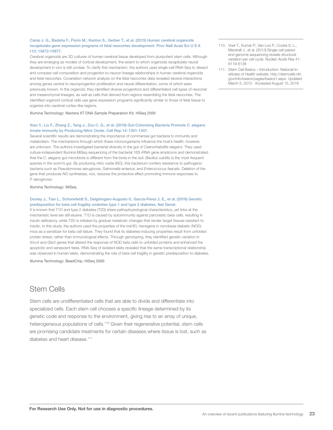### Camp J. G., Badsha F., Florio M., Kanton S., Gerber T., et al. (2015) Human cerebral organoids recapitulate gene expression programs of fetal neocortex development. Proc Natl Acad Sci U S A 112: 15672-15677.

Cerebral organoids are 3D cultures of human cerebral tissue developed from pluripotent stem cells. Although they are emerging as models of cortical development, the extent to which organoids recapitulate neural development *in vivo* is still unclear. To clarify this mechanism, the authors used single-cell RNA-Seq to dissect and compare cell composition and progenitor-to-neuron lineage relationships in human cerebral organoids and fetal neocortex. Covariation network analysis on the fetal neocortex data revealed several interactions among genes central to neuroprogenitor proliferation and neural differentiation, some of which were previously known. In the organoid, they identified diverse progenitors and differentiated cell types of neuronal and mesenchymal lineages, as well as cells that derived from regions resembling the fetal neocortex. The identified organoid cortical cells use gene expression programs significantly similar to those of fetal tissue to organize into cerebral cortex–like regions.

Illumina Technology: Nextera XT DNA Sample Preparation Kit, HiSeq 2500

### Xiao Y., Liu F., Zhang Z., Tang J., Zou C. G., et al. (2016) Gut-Colonizing Bacteria Promote *C. elegans*  Innate Immunity by Producing Nitric Oxide. Cell Rep 14: 1301-1307.

Several scientific results are demonstrating the importance of commensal gut bacteria to immunity and metabolism. The mechanisms through which these microorganisms influence the host's health, however, are unknown. The authors investigated bacterial diversity in the gut of *Caenorhabditis elegans*. They used culture-independent Illumina MiSeq sequencing of the bacterial 16S rRNA gene amplicons and demonstrated that the *C. elegans* gut microbiota is different from the biota in the soil. *Bacillus subtilis* is the most frequent species in the worm's gut. By producing nitric oxide (NO), this bacterium confers resistance to pathogenic bacteria such as *Pseudomonas aeruginosa*, *Salmonella enterica*, and *Enterococcus faecalis*. Deletion of the gene that produces NO synthetase, *nos*, reduces the protective effect promoting immune responses to *P. aeruginosa*.

### Illumina Technology: MiSeq

### Dooley J., Tian L., Schonefeldt S., Delghingaro-Augusto V., Garcia-Perez J. E., et al. (2016) Genetic predisposition for beta cell fragility underlies type 1 and type 2 diabetes. Nat Genet.

It is known that T1D and type 2 diabetes (T2D) share pathophysiological characteristics, yet links at the mechanistic level are still elusive. T1D is caused by autoimmunity against pancreatic beta cells, resulting in insulin deficiency, while T2D is initiated by gradual metabolic changes that render target tissues resistant to insulin. In this study, the authors used the properties of the insHEL transgene in nonobese diabetic (NOD) mice as a sensitizer for beta cell failure. They found that its diabetes-inducing properties result from unfolded protein stress, rather than immunological effects. Through genotyping, they identified genetic variation in *Xrcc4* and *Glis3* genes that altered the response of NOD beta cells to unfolded proteins and enhanced the apoptotic and senescent fates. RNA-Seq of isolated islets revealed that the same transcriptional relationship was observed in human islets, demonstrating the role of beta cell fragility in genetic predisposition to diabetes.

Illumina Technology: BeadChip, HiSeq 2000

### Stem Cells

Stem cells are undifferentiated cells that are able to divide and differentiate into specialized cells. Each stem cell chooses a specific lineage determined by its genetic code and response to the environment, giving rise to an array of unique, heterogeneous populations of cells.<sup>110</sup> Given their regenerative potential, stem cells are promising candidate treatments for certain diseases where tissue is lost, such as diabetes and heart disease.<sup>111</sup>

- 110. Voet T., Kumar P., Van Loo P., Cooke S. L., Marshall J., et al. (2013) Single-cell pairedend genome sequencing reveals structural variation per cell cycle. Nucleic Acids Res 41: 6119-6138
- 111. Stem Cell Basics Introduction. National Institutes of Health website. http://stemcells.nih. gov/info/basics/pages/basics1.aspx. Updated March 5, 2015. Accessed August 15, 2016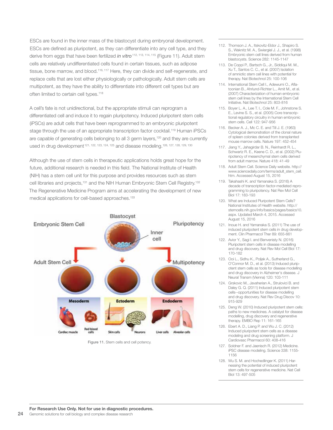ESCs are found in the inner mass of the blastocyst during embryonal development. ESCs are defined as pluripotent, as they can differentiate into any cell type, and they derive from eggs that have been fertilized *in vitro*<sup>112, 113, 114, 115</sup> (Figure 11). Adult stem cells are relatively undifferentiated cells found in certain tissues, such as adipose tissue, bone marrow, and blood.<sup>116, 117</sup> Here, they can divide and self-regenerate, and replace cells that are lost either physiologically or pathologically. Adult stem cells are multipotent, as they have the ability to differentiate into different cell types but are often limited to certain cell types.<sup>118</sup>

A cell's fate is not unidirectional, but the appropriate stimuli can reprogram a differentiated cell and induce it to regain pluripotency. Induced pluripotent stem cells (iPSCs) are adult cells that have been reprogrammed to an embryonic pluripotent stage through the use of an appropriate transcription factor cocktail.<sup>119</sup> Human iPSCs are capable of generating cells belonging to all 3 germ layers,<sup>120</sup> and they are currently used in drug development<sup>121, 122, 123, 124, 125</sup> and disease modeling.<sup>126, 127, 128, 129, 130</sup>

Although the use of stem cells in therapeutic applications holds great hope for the future, additional research is needed in this field. The National Institute of Health (NIH) has a stem cell unit for this purpose and provides resources such as stem cell libraries and projects,<sup>131</sup> and the NIH Human Embryonic Stem Cell Registry.<sup>132</sup> The Regenerative Medicine Program aims at accelerating the development of new medical applications for cell-based approaches.<sup>133</sup>



Figure 11. Stem cells and cell potency.

- 112. Thomson J. A., Itskovitz-Eldor J., Shapiro S. S., Waknitz M. A., Swiergiel J. J., et al. (1998) Embryonic stem cell lines derived from human blastocysts. Science 282: 1145-1147
- 113. De Coppi P., Bartsch G., Jr., Siddiqui M. M., Xu T., Santos C. C., et al. (2007) Isolation of amniotic stem cell lines with potential for therapy. Nat Biotechnol 25: 100-106
- 114. International Stem Cell I., Adewumi O., Aflatoonian B., Ahrlund-Richter L., Amit M., et al. (2007) Characterization of human embryonic stem cell lines by the International Stem Cell Initiative. Nat Biotechnol 25: 803-816
- 115. Boyer L. A., Lee T. I., Cole M. F., Johnstone S. E., Levine S. S., et al. (2005) Core transcriptional regulatory circuitry in human embryonic stem cells. Cell 122: 947-956
- 116. Becker A. J., Mc C. E. and Till J. E. (1963) Cytological demonstration of the clonal nature of spleen colonies derived from transplanted mouse marrow cells. Nature 197: 452-454
- 117. Jiang Y., Jahagirdar B. N., Reinhardt R. L., Schwartz R. E., Keene C. D., et al. (2002) Pluripotency of mesenchymal stem cells derived from adult marrow. Nature 418: 41-49
- 118. Adult Stem Cell. Science Daily website. http:// www.sciencedaily.com/terms/adult\_stem\_cell. htm. Accessed August 15, 2016
- 119. Takahashi K. and Yamanaka S. (2016) A decade of transcription factor-mediated reprogramming to pluripotency. Nat Rev Mol Cell Biol 17: 183-193
- 120. What are Induced Pluripotent Stem Cells? National Institutes of Health website. http:// stemcells.nih.gov/info/basics/pages/basics10. aspx. Updated March 4, 2015. Accessed August 15, 2016
- 121. Inoue H. and Yamanaka S. (2011) The use of induced pluripotent stem cells in drug development. Clin Pharmacol Ther 89: 655-661
- 122. Avior Y., Sagi I. and Benvenisty N. (2016) Pluripotent stem cells in disease modelling and drug discovery. Nat Rev Mol Cell Biol 17: 170-182
- 123. Ooi L., Sidhu K., Poljak A., Sutherland G., O'Connor M. D., et al. (2013) Induced pluripotent stem cells as tools for disease modelling and drug discovery in Alzheimer's disease. J Neural Transm (Vienna) 120: 103-111
- 124. Grskovic M., Javaherian A., Strulovici B. and Daley G. Q. (2011) Induced pluripotent stem cells--opportunities for disease modelling and drug discovery. Nat Rev Drug Discov 10: 915-929
- 125. Deng W. (2010) Induced pluripotent stem cells: paths to new medicines. A catalyst for disease modelling, drug discovery and regenerative therapy. EMBO Rep 11: 161-165
- 126. Ebert A. D., Liang P. and Wu J. C. (2012) Induced pluripotent stem cells as a disease modeling and drug screening platform. J Cardiovasc Pharmacol 60: 408-416
- 127. Soldner F. and Jaenisch R. (2012) Medicine. iPSC disease modeling. Science 338: 1155- 1156
- 128. Wu S. M. and Hochedlinger K. (2011) Harnessing the potential of induced pluripotent stem cells for regenerative medicine. Nat Cell Biol 13: 497-505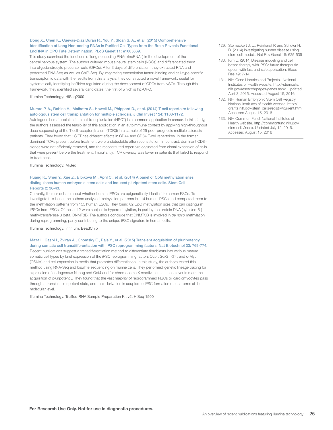### Dong X., Chen K., Cuevas-Diaz Duran R., You Y., Sloan S. A., et al. (2015) Comprehensive Identification of Long Non-coding RNAs in Purified Cell Types from the Brain Reveals Functional LncRNA in OPC Fate Determination. PLoS Genet 11: e1005669.

This study examined the functions of long noncoding RNAs (lncRNAs) in the development of the central nervous system. The authors cultured mouse neural stem cells (NSCs) and differentiated them into oligodendrocyte precursor cells (OPCs). After 3 days of differentiation, they extracted RNA and performed RNA Seq as well as ChIP-Seq. By integrating transcription factor–binding and cell-type-specific transcriptomic data with the results from this analysis, they constructed a novel framework, useful for systematically identifying lncRNAs regulated during the development of OPCs from NSCs. Through this framework, they identified several candidates, the first of which is lnc-OPC.

Illumina Technology: HiSeq2000

### Muraro P. A., Robins H., Malhotra S., Howell M., Phippard D., et al. (2014) T cell repertoire following autologous stem cell transplantation for multiple sclerosis. J Clin Invest 124: 1168-1172.

Autologous hematopoietic stem cell transplantation (HSCT) is a common application in cancer. In this study, the authors assessed the feasibility of this application in an autoimmune context by applying high-throughput deep sequencing of the T-cell receptor β chain (TCRβ) in a sample of 25 poor-prognosis multiple sclerosis patients. They found that HSCT has different effects in CD4+ and CD8+ T-cell repertoires. In the former, dominant TCRs present before treatment were undetectable after reconstitution. In contrast, dominant CD8+ clones were not efficiently removed, and the reconstituted repertoire originated from clonal expansion of cells that were present before the treatment. Importantly, TCR diversity was lower in patients that failed to respond to treatment.

Illumina Technology: MiSeq

### Huang K., Shen Y., Xue Z., Bibikova M., April C., et al. (2014) A panel of CpG methylation sites distinguishes human embryonic stem cells and induced pluripotent stem cells. Stem Cell Reports 2: 36-43.

Currently, there is debate about whether human iPSCs are epigenetically identical to human ESCs. To investigate this issue, the authors analyzed methylation patterns in 114 human iPSCs and compared them to the methylation patterns from 155 human ESCs. They found 82 CpG methylation sites that can distinguish iPSCs from ESCs. Of these, 12 were subject to hypermethylation, in part by the protein DNA (cytosine-5-) methyltransferase 3 beta, DNMT3B. The authors conclude that DNMT3B is involved in *de novo* methylation during reprogramming, partly contributing to the unique iPSC signature in human cells.

Illumina Technology: Infinium, BeadChip

Maza I., Caspi I., Zviran A., Chomsky E., Rais Y., et al. (2015) Transient acquisition of pluripotency during somatic cell transdifferentiation with iPSC reprogramming factors. Nat Biotechnol 33: 769-774. Recent publications suggest a transdifferentiation method to differentiate fibroblasts into various mature somatic cell types by brief expression of the iPSC reprogramming factors Oct4, Sox2, Klf4, and c-Myc (OSKM) and cell expansion in media that promotes differentiation. In this study, the authors tested this method using RNA-Seq and bisulfite sequencing on murine cells. They performed genetic lineage tracing for expression of endogenous Nanog and Oct4 and for chromosome X reactivation, as these events mark the acquisition of pluripotency. They found that the vast majority of reprogrammed NSCs or cardiomyocytes pass through a transient pluripotent state, and their derivation is coupled to iPSC formation mechanisms at the molecular level.

Illumina Technology: TruSeq RNA Sample Preparation Kit v2, HiSeq 1500

- 129. Sterneckert J. L., Reinhardt P. and Scholer H. R. (2014) Investigating human disease using stem cell models. Nat Rev Genet 15: 625-639
- 130. Kim C. (2014) Disease modeling and cell based therapy with iPSC: future therapeutic option with fast and safe application. Blood Res 49: 7-14
- 131. NIH Gene Libraries and Projects. National Institutes of Health website. http://stemcells. nih.gov/research/pages/genes.aspx. Updated April 3, 2015. Accessed August 15, 2016
- 132. NIH Human Embryonic Stem Cell Registry. National Institutes of Health website. http:// grants.nih.gov/stem\_cells/registry/current.htm. Accessed August 15, 2016
- 133. NIH Common Fund. National Institutes of Health website. http://commonfund.nih.gov/ stemcells/index. Updated July 12, 2016. Accessed August 15, 2016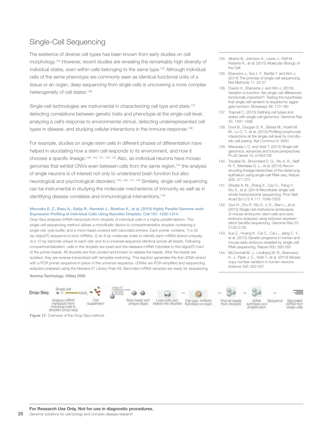### Single-Cell Sequencing

The existence of diverse cell types has been known from early studies on cell morphology.134 However, recent studies are revealing the remarkably high diversity of individual states, even within cells belonging to the same type.<sup>135</sup> Although individual cells of the same phenotype are commonly seen as identical functional units of a tissue or an organ, deep sequencing from single cells is uncovering a more complex heterogeneity of cell states.<sup>136</sup>

Single-cell technologies are instrumental in characterizing cell type and state,<sup>137</sup> detecting correlations between genetic traits and phenotype at the single-cell level, analyzing a cell's response to environmental stimuli, detecting underrepresented cell types in disease, and studying cellular interactions in the immune response.<sup>138</sup>

For example, studies on single stem cells in different phases of differentiation have helped in elucidating how a stem cell responds to its environment, and how it chooses a specific lineage.139, 140, 141, 142, 143 Also, as individual neurons have mosaic genomes that exhibit CNVs even between cells from the same region,<sup>144</sup> the analysis of single neurons is of interest not only to understand brain function but also neurological and psychological disorders.145, 146, 147, 148 Similarly, single-cell sequencing can be instrumental in studying the molecular mechanisms of immunity as well as in identifying disease correlates and immunological interventions.<sup>149</sup>

### Macosko E. Z., Basu A., Satija R., Nemesh J., Shekhar K., et al. (2015) Highly Parallel Genome-wide Expression Profiling of Individual Cells Using Nanoliter Droplets. Cell 161: 1202-1214.

Drop-Seq analyzes mRNA transcripts from droplets of individual cells in a highly parallel fashion. This single-cell sequencing method utilizes a microfluidic device to compartmentalize droplets containing a single cell, lysis buffer, and a micro-bead covered with barcoded primers. Each primer contains: 1) a 30 bp oligo(dT) sequence to bind mRNAs; 2) an 8 bp molecular index to identify each mRNA strand uniquely; 3) a 12 bp barcode unique to each cell; and 4) a universal sequence identical across all beads. Following compartmentalization, cells in the droplets are lysed and the released mRNA hybridize to the oligo(dT) tract of the primer beads. All droplets are then pooled and broken to release the beads. After the beads are isolated, they are reverse-transcribed with template-switching. This reaction generates the first cDNA strand with a PCR primer sequence in place of the universal sequence. cDNAs are PCR-amplified and sequencing adapters prepared using the Nextera XT Library Prep Kit. Barcoded mRNA samples are ready for sequencing.

Illumina Technology: HiSeq 2000

### Drop-Seq















CDNA Sequence synthesis and<br>amplification from droplets single cells

B

Figure 12. Overview of the Drop-Seq method.



141. Streets A. M., Zhang X., Cao C., Pang Y., Wu X., et al. (2014) Microfluidic single-cell whole-transcriptome sequencing. Proc Natl Acad Sci U S A 111: 7048-7053

134. Alberts B., Johnson A., Lewis J., Raff M., Roberts K., et al. (2015) Molecular Biology of

135. Eberwine J., Sul J. Y., Bartfai T. and Kim J. (2014) The promise of single-cell sequencing.

136. Dueck H., Eberwine J. and Kim J. (2016) Variation is function: Are single cell differences functionally important?: Testing the hypothesis that single cell variation is required for aggregate function. Bioessays 38: 172-180 137. Trapnell C. (2015) Defining cell types and states with single-cell genomics. Genome Res

138. Dura B., Dougan S. K., Barisa M., Hoehl M. M., Lo C. T., et al. (2015) Profiling lymphocyte interactions at the single-cell level by microfluidic cell pairing. Nat Commun 6: 5940 139. Macaulay I. C. and Voet T. (2014) Single cell genomics: advances and future perspectives.

PLoS Genet 10: e1004126 140. Treutlein B., Brownfield D. G., Wu A. R., Neff N. F., Mantalas G. L., et al. (2014) Recon-

Nat Methods 11: 25-27

25: 1491-1498

the Cell.

- 142. Guo H., Zhu P., Wu X., Li X., Wen L., et al. (2013) Single-cell methylome landscapes of mouse embryonic stem cells and early embryos analyzed using reduced representation bisulfite sequencing. Genome Res 23: 2126-2135
- 143. Xue Z., Huang K., Cai C., Cai L., Jiang C. Y., et al. (2013) Genetic programs in human and mouse early embryos revealed by single-cell RNA sequencing. Nature 500: 593-597
- 144. McConnell M. J., Lindberg M. R., Brennand K. J., Piper J. C., Voet T., et al. (2013) Mosaic copy number variation in human neurons. Science 342: 632-637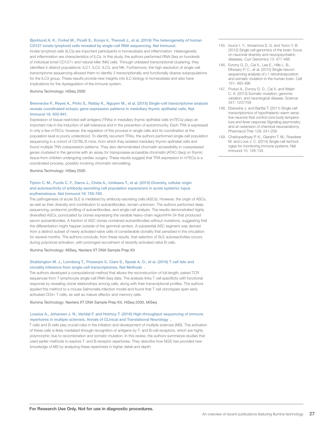### Bjorklund A. K., Forkel M., Picelli S., Konya V., Theorell J., et al. (2016) The heterogeneity of human CD127 innate lymphoid cells revealed by single-cell RNA sequencing. Nat Immunol.

Innate lymphoid cells (ILCs) are important participants in homeostasis and inflammation. Heterogeneity and inflammation are characteristics of ILCs. In this study, the authors performed RNA-Seq on hundreds of individual tonsil CD127+ and natural killer (NK) cells. Through unbiased transcriptional clustering, they identified 4 distinct populations: ILC1, ILC2, ILC3, and NK. Furthermore, the high resolution of single-cell transcriptome sequencing allowed them to identify 3 transcriptionally and functionally diverse subpopulations for the ILC3 group. These results provide new insights into ILC biology in homeostasis and also have implications for the dysregulation of the immune system.

#### Illumina Technology: HiSeq 2000

#### Brennecke P., Reyes A., Pinto S., Rattay K., Nguyen M., et al. (2015) Single-cell transcriptome analysis reveals coordinated ectopic gene-expression patterns in medullary thymic epithelial cells. Nat Immunol 16: 933-941.

Expression of tissue-restricted self-antigens (TRAs) in medullary thymic epithelial cells (mTECs) plays an important role in the induction of self-tolerance and in the prevention of autoimmunity. Each TRA is expressed in only a few mTECs; however, the regulation of this process in single cells and its coordination at the population level is poorly understood. To identify recurrent TRAs, the authors performed single-cell population sequencing in a cohort of C57BL/6 mice, from which they isolated medullary thymic epithelial cells and found multiple TRA coexpression patterns. They also demonstrated chromatin accessibility in coexpressed genes clustered in the genome with an assay for transposase-accessible chromatin (ATAC-Seq) on thymic tissue from children undergoing cardiac surgery. These results suggest that TRA expression in mTECs is a coordinated process, possibly involving chromatin remodeling.

Illumina Technology: HiSeq 2500

### Tipton C. M., Fucile C. F., Darce J., Chida A., Ichikawa T., et al. (2015) Diversity, cellular origin and autoreactivity of antibody-secreting cell population expansions in acute systemic lupus erythematosus. Nat Immunol 16: 755-765.

The pathogenesis of acute SLE is mediated by antibody-secreting cells (ASCs). However, the origin of ASCs, as well as their diversity and contribution to autoantibodies, remain unknown. The authors performed deep sequencing, proteomic profiling of autoantibodies, and single-cell analysis. The results demonstrated highly diversified ASCs, punctuated by clones expressing the variable heavy-chain regionVH4-34 that produced serum autoantibodies. A fraction of ASC clones contained autoantibodies without mutations, suggesting that the differentiation might happen outside of the germinal centers. A substantial ASC segment was derived from a distinct subset of newly activated naïve cells of considerable clonality that persisted in the circulation for several months. The authors conclude, from these results, that selection of SLE autoreactivities occurs during polyclonal activation, with prolonged recruitment of recently activated naïve B cells.

Illumina Technology: MiSeq, Nextera XT DNA Sample Prep Kit

### Stubbington M. J., Lonnberg T., Proserpio V., Clare S., Speak A. O., et al. (2016) T cell fate and clonality inference from single-cell transcriptomes. Nat Methods .

The authors developed a computational method that allows the reconstruction of full-length, paired TCR sequences from T lymphocyte single-cell RNA-Seq data. The analysis links T cell specificity with functional response by revealing clonal relationships among cells, along with their transcriptional profiles. The authors applied this method to a mouse Salmonella infection model and found that T cell clonotypes span early activated CD4+ T cells, as well as mature effector and memory cells.

Illumina Technology: Nextera XT DNA Sample Prep Kit, HiSeq 2500, MiSeq

### Lossius A., Johansen J. N., Vartdal F. and Holmoy T. (2016) High-throughput sequencing of immune repertoires in multiple sclerosis. Annals of CLinical and Translational Neurology .

T cells and B cells play crucial roles in the initiation and development of multiple sclerosis (MS). The activation of these cells is likely mediated through recognition of antigens by T- and B-cell receptors, which are highly polymorphic due to recombination and somatic mutation. In this review, the authors summarize studies that used earlier methods to explore T- and B-receptor repertoires. They describe how NGS has provided new knowledge of MS by analyzing these repertoires in higher detail and depth.

- 145. Iourov I. Y., Vorsanova S. G. and Yurov Y. B. (2012) Single cell genomics of the brain: focus on neuronal diversity and neuropsychiatric diseases. Curr Genomics 13: 477-488
- 146. Evrony G. D., Cai X., Lee E., Hills L. B., Elhosary P. C., et al. (2012) Single-neuron sequencing analysis of L1 retrotransposition and somatic mutation in the human brain. Cell 151: 483-496
- 147. Poduri A., Evrony G. D., Cai X. and Walsh C. A. (2013) Somatic mutation, genomic variation, and neurological disease. Science 341: 1237758
- 148. Eberwine J. and Bartfai T. (2011) Single cell transcriptomics of hypothalamic warm sensitive neurons that control core body temperature and fever response Signaling asymmetry and an extension of chemical neuroanatomy. Pharmacol Ther 129: 241-259
- 149. Chattopadhyay P. K., Gierahn T. M., Roederer M. and Love J. C. (2014) Single-cell technologies for monitoring immune systems. Nat Immunol 15: 128-135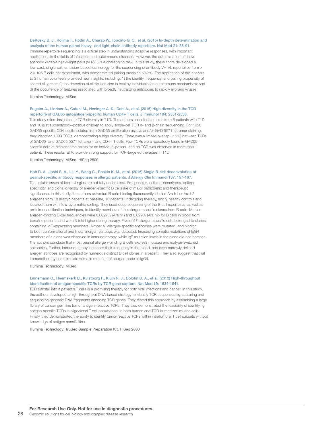### DeKosky B. J., Kojima T., Rodin A., Charab W., Ippolito G. C., et al. (2015) In-depth determination and analysis of the human paired heavy- and light-chain antibody repertoire. Nat Med 21: 86-91.

Immune repertoire sequencing is a critical step in understanding adaptive responses, with important applications in the fields of infectious and autoimmune diseases. However, the determination of native antibody variable heavy-light pairs (VH-VL) is a challenging task. In this study, the authors developed a low-cost, single-cell, emulsion-based technology for the sequencing of antibody VH-VL repertoires from > 2 × 106 B cells per experiment, with demonstrated pairing precision > 97%. The application of this analysis to 3 human volunteers provided new insights, including: 1) the identity, frequency, and pairing propensity of shared VL genes; 2) the detection of allelic inclusion in healthy individuals (an autoimmune mechanism); and 3) the occurrence of features associated with broadly neutralizing antibodies to rapidly evolving viruses.

Illumina Technology: MiSeq

### Eugster A., Lindner A., Catani M., Heninger A. K., Dahl A., et al. (2015) High diversity in the TCR

repertoire of GAD65 autoantigen-specific human CD4+ T cells. J Immunol 194: 2531-2538. This study offers insights into TCR diversity in T1D. The authors collected samples from 6 patients with T1D and 10 islet autoantibody–positive children to apply single-cell TCR α- and β-chain sequencing. For 1650 GAD65-specific CD4+ cells isolated from GAD65 proliferation assays and/or GAD 5571 tetramer staining, they identified 1003 TCRs, demonstrating a high diversity. There was a limited overlap (< 5%) between TCRs of GAD65- and GAD65 5571 tetramer+ and CD4+ T cells. Few TCRs were repeatedly found in GAD65 specific cells at different time points for an individual patient, and no TCR was observed in more than 1 patient. These results fail to provide strong support for TCR-targeted therapies in T1D.

Illumina Technology: MiSeq, HiSeq 2500

#### Hoh R. A., Joshi S. A., Liu Y., Wang C., Roskin K. M., et al. (2016) Single B-cell deconvolution of peanut-specific antibody responses in allergic patients. J Allergy Clin Immunol 137: 157-167.

The cellular bases of food allergies are not fully understood. Frequencies, cellular phenotypes, epitope specificity, and clonal diversity of allergen-specific B cells are of major pathogenic and therapeutic significance. In this study, the authors extracted B cells binding fluorescently labeled Ara h1 or Ara h2 allergens from 18 allergic patients at baseline, 13 patients undergoing therapy, and 9 healthy controls and isolated them with flow-cytometric sorting. They used deep sequencing of the B cell repertoires, as well as protein quantification techniques, to identify members of the allergen-specific clones from B cells. Median allergen-binding B-cell frequencies were 0.0097% (Ara h1) and 0.029% (Ara h2) for B cells in blood from baseline patients and were 3-fold higher during therapy. Five of 57 allergen-specific cells belonged to clones containing IgE-expressing members. Almost all allergen-specific antibodies were mutated, and binding to both conformational and linear allergen epitopes was detected. Increasing somatic mutations of IgG4 members of a clone was observed in immunotherapy, while IgE mutation levels in the clone did not increase. The authors conclude that most peanut allergen–binding B cells express mutated and isotype-switched antibodies. Further, immunotherapy increases their frequency in the blood, and even narrowly defined allergen epitopes are recognized by numerous distinct B cell clones in a patient. They also suggest that oral immunotherapy can stimulate somatic mutation of allergen-specific IgG4.

Illumina Technology: MiSeq

### Linnemann C., Heemskerk B., Kvistborg P., Kluin R. J., Bolotin D. A., et al. (2013) High-throughput identification of antigen-specific TCRs by TCR gene capture. Nat Med 19: 1534-1541.

TCR transfer into a patient's T cells is a promising therapy for both viral infections and cancer. In this study, the authors developed a high-throughput DNA-based strategy to identify TCR sequences by capturing and sequencing genomic DNA fragments encoding TCR genes. They tested this approach by assembling a large library of cancer germline tumor antigen–reactive TCRs. They also demonstrated the feasibility of identifying antigen-specific TCRs in oligoclonal T cell populations, in both human and TCR-humanized murine cells. Finally, they demonstrated the ability to identify tumor-reactive TCRs within intratumoral T cell subsets without knowledge of antigen specificities.

Illumina Technology: TruSeq Sample Preparation Kit, HiSeq 2000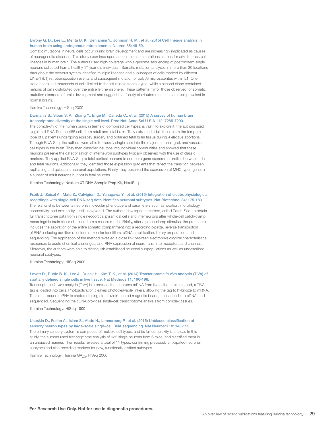### Evrony G. D., Lee E., Mehta B. K., Benjamini Y., Johnson R. M., et al. (2015) Cell lineage analysis in human brain using endogenous retroelements. Neuron 85: 49-59.

Somatic mutations in neural cells occur during brain development and are increasingly implicated as causes of neurogenetic diseases. This study examined spontaneous somatic mutations as clonal marks to track cell lineages in human brain. The authors used high-coverage whole-genome sequencing of postmortem single neurons collected from a healthy 17 year old individual. Somatic mutation analyses in more than 30 locations throughout the nervous system identified multiple lineages and sublineages of cells marked by different LINE-1 (L1) retrotransposition events and subsequent mutation of poly(A) microsatellites within L1. One clone contained thousands of cells limited to the left middle frontal gyrus, while a second clone contained millions of cells distributed over the entire left hemisphere. These patterns mirror those observed for somatic mutation disorders of brain development and suggest that focally distributed mutations are also prevalent in normal brains.

#### Illumina Technology: HiSeq 2000

#### Darmanis S., Sloan S. A., Zhang Y., Enge M., Caneda C., et al. (2015) A survey of human brain transcriptome diversity at the single cell level. Proc Natl Acad Sci U S A 112: 7285-7290.

The complexity of the human brain, in terms of comprised cell types, is vast. To explore it, the authors used single-cell RNA-Seq on 466 cells from adult and fetal brain. They extracted adult tissue from the temporal lobe of 8 patients undergoing epilepsy surgery and obtained fetal brain tissue during 4 elective abortions. Through RNA-Seq, the authors were able to classify single cells into the major neuronal, glial, and vascular cell types in the brain. They then classified neurons into individual communities and showed that these neurons preserve the categorization of interneuron subtypes typically observed with the use of classic markers. They applied RNA-Seq to fetal cortical neurons to compare gene expression profiles between adult and fetal neurons. Additionally, they identified those expression gradients that reflect the transition between replicating and quiescent neuronal populations. Finally, they observed the expression of MHC type I genes in a subset of adult neurons but not in fetal neurons.

Illumina Technology: Nextera XT DNA Sample Prep Kit, NextSeq

### Fuzik J., Zeisel A., Mate Z., Calvigioni D., Yanagawa Y., et al. (2016) Integration of electrophysiological recordings with single-cell RNA-seq data identifies neuronal subtypes. Nat Biotechnol 34: 175-183.

The relationship between a neuron's molecular phenotype and parameters such as location, morphology, connectivity, and excitability is still unexplored. The authors developed a method, called Patch-Seq, to obtain full transcriptome data from single neocortical pyramidal cells and interneurons after whole-cell patch-clamp recordings in brain slices obtained from a mouse model. Briefly, after a patch-clamp stimulus, the procedure includes the aspiration of the entire somatic compartment into a recording pipette, reverse transcription of RNA including addition of unique molecular identifiers, cDNA amplification, library preparation, and sequencing. The application of the method revealed a close link between electrophysiological characteristics, responses to acute chemical challenges, and RNA expression of neurotransmitter receptors and channels. Moreover, the authors were able to distinguish established neuronal subpopulations as well as undescribed neuronal subtypes.

### Illumina Technology: HiSeq 2000

### Lovatt D., Ruble B. K., Lee J., Dueck H., Kim T. K., et al. (2014) Transcriptome *in vivo* analysis (TIVA) of spatially defined single cells in live tissue. Nat Methods 11: 190-196.

Transcriptome *in vivo* analysis (TIVA) is a protocol that captures mRNA from live cells. In this method, a TIVA tag is loaded into cells. Photoactivation cleaves photocleavable linkers, allowing the tag to hybridize to mRNA. The biotin-bound mRNA is captured using streptavidin-coated magnetic beads, transcribed into cDNA, and sequenced. Sequencing the cDNA provides single-cell transcriptome analysis from complex tissues.

Illumina Technology: HiSeq 1000

### Usoskin D., Furlan A., Islam S., Abdo H., Lonnerberg P., et al. (2015) Unbiased classification of sensory neuron types by large-scale single-cell RNA sequencing. Nat Neurosci 18: 145-153.

The primary sensory system is composed of multiple cell types, and its full complexity is unclear. In this study, the authors used transcriptome analysis of 622 single neurons from 6 mice, and classified them in an unbiased manner. Their results revealed a total of 11 types, confirming previously anticipated neuronal subtypes and also providing markers for new, functionally distinct subtypes.

Illumina Technology: Illumina GA*IIx*, HiSeq 2000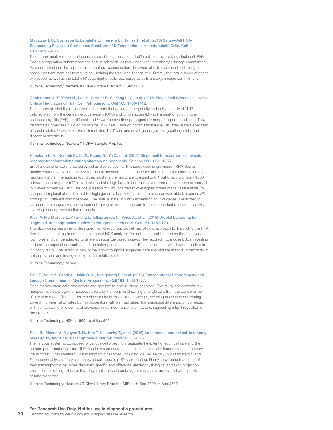### Macaulay I. C., Svensson V., Labalette C., Ferreira L., Hamey F., et al. (2016) Single-Cell RNA-Sequencing Reveals a Continuous Spectrum of Differentiation in Hematopoietic Cells. Cell Rep 14: 966-977.

The authors analyzed the continuous nature of hematopoietic cell differentiation by applying single-cell RNA-Seq to a population of hematopoietic cells in zebrafish, as they underwent thrombocyte lineage commitment. By a computational developmental chronology reconstruction, they were able to place each cell along a continuum from stem cell to mature cell, refining the traditional lineage tree. Overall, the total number of genes expressed, as well as the total mRNA content of cells, decreases as cells undergo lineage commitment.

Illumina Technology: Nextera XT DNA Library Prep Kit, HiSeq 2000

### Gaublomme J. T., Yosef N., Lee Y., Gertner R. S., Yang L. V., et al. (2015) Single-Cell Genomics Unveils Critical Regulators of Th17 Cell Pathogenicity. Cell 163: 1400-1412.

The authors studied the molecular mechanisms that govern heterogeneity and pathogenicity of Th17 cells isolated from the central nervous system (CNS) and lymph nodes (LN) at the peak of autoimmune encephalomyelitis (EAE), or differentiated *in vitro* under either pathogenic or nonpathogenic conditions. They performed single-cell RNA-Seq on murine Th17 cells. Through computational analysis, they relate a spectrum of cellular states *in vivo* to *in vitro* differentiated Th17 cells and unveil genes governing pathogenicity and disease susceptibility.

Illumina Technology: Nextera XT DNA Sample Prep Kit

### Hanchate N. K., Kondoh K., Lu Z., Kuang D., Ye X., et al. (2015) Single-cell transcriptomics reveals receptor transformations during olfactory neurogenesis. Science 350: 1251-1255.

Smell allows chemicals to be perceived as diverse scents. This study used single-neuron RNA-Seq on murine neurons to explore the developmental mechanisms that shape the ability to smell as nasal olfactory neurons mature. The authors found that most mature neurons expressed only 1 out of approximately 1000 odorant receptor genes (*Olfrs*) available, and at a high level. In contrast, several immature neurons expressed low levels of multiple *Olfrs*. The coexpression of Olfrs localized to overlapping zones of the nasal epithelium suggested regional biases but not to single genomic loci. A single immature neuron was able to express *Olfrs* from up to 7 different chromosomes. The mature state, in which expression of *Olfrs* genes is restricted to 1 per neuron, emerges over a developmental progression that appears to be independent of neuronal activity involving sensory transduction molecules.

### Klein A. M., Mazutis L., Akartuna I., Tallapragada N., Veres A., et al. (2015) Droplet barcoding for single-cell transcriptomics applied to embryonic stem cells. Cell 161: 1187-1201.

This study describes a newly developed high-throughput droplet-microfluidic approach for barcoding the RNA from thousands of single cells for subsequent NGS analysis. The authors report that the method has very low noise and can be adapted to different sequence-based assays. They applied it to mouse ESCs, revealing in detail the population structure and the heterogeneous onset of differentiation after withdrawal of leukemia inhibitory factor. The reproducibility of the high-throughput single-cell data enabled the authors to deconstruct cell populations and infer gene expression relationships.

Illumina Technology: MiSeq

### Paul F., Arkin Y., Giladi A., Jaitin D. A., Kenigsberg E., et al. (2015) Transcriptional Heterogeneity and Lineage Commitment in Myeloid Progenitors. Cell 163: 1663-1677.

Bone marrow stem cells differentiate and give rise to diverse blood cell types. This study comprehensively mapped myeloid progenitor subpopulations by transcriptional sorting of single cells from the bone marrow of a murine model. The authors described multiple progenitor subgroups, showing transcriptional priming toward 7 differentiation fates but no progenitors with a mixed state. Transcriptional differentiation correlated with combinations of known and previously undefined transcription factors, suggesting a tight regulation of the process.

Illumina Technology: HiSeq 1500, NextSeq 500

### Tasic B., Menon V., Nguyen T. N., Kim T. K., Jarsky T., et al. (2016) Adult mouse cortical cell taxonomy revealed by single cell transcriptomics. Nat Neurosci 19: 335-346.

The nervous system is composed of various cell types. To investigate the extent of such cell diversity, the authors performed single-cell RNA-Seq in mouse neurons, constructing a cellular taxonomy of the primary visual cortex. They identified 49 transcriptomic cell types, including 23 GABAergic, 19 glutamatergic, and 7 nonneuronal types. They also analyzed cell-specific mRNA processing. Finally, they found that some of their transcriptomic cell types displayed specific and differential electrophysiological and axon projection properties, providing evidence that single cell-transcriptomic signatures can be associated with specific cellular properties.

Illumina Technology: Nextera XT DNA Library Prep Kit, MiSeq, HiSeq 2000, HiSeq 2500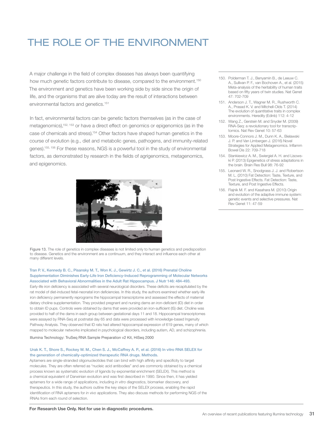### THE ROLE OF THE ENVIRONMENT

A major challenge in the field of complex diseases has always been quantifying how much genetic factors contribute to disease, compared to the environment.<sup>150</sup> The environment and genetics have been working side by side since the origin of life, and the organisms that are alive today are the result of interactions between environmental factors and genetics.151

In fact, environmental factors can be genetic factors themselves (as in the case of metagenomics),152, 153 or have a direct effect on genomics or epigenomics (as in the case of chemicals and stress).154 Other factors have shaped human genetics in the course of evolution (e.g., diet and metabolic genes, pathogens, and immunity-related genes).155, 156 For these reasons, NGS is a powerful tool in the study of environmental factors, as demonstrated by research in the fields of agrigenomics, metagenomics, and epigenomics.



Figure 13. The role of genetics in complex diseases is not limited only to human genetics and predisposition to disease. Genetics and the environment are a continuum, and they interact and influence each other at many different levels.

### Tran P. V., Kennedy B. C., Pisansky M. T., Won K. J., Gewirtz J. C., et al. (2016) Prenatal Choline Supplementation Diminishes Early-Life Iron Deficiency-Induced Reprogramming of Molecular Networks Associated with Behavioral Abnormalities in the Adult Rat Hippocampus. J Nutr 146: 484-493.

Early-life iron deficiency is associated with several neurological disorders. These deficits are recapitulated by the rat model of diet-induced fetal-neonatal iron deficiencies. In this study, the authors examined whether early-life iron deficiency permanently reprograms the hippocampal transcriptome and assessed the effects of maternal dietary choline supplementation. They provided pregnant and nursing dams an iron-deficient (ID) diet in order to obtain ID pups. Controls were obtained by dams that were provided an iron-sufficient (IS) diet. Choline was provided to half of the dams in each group between gestational days 11 and 18. Hippocampal transcriptomes were assayed by RNA-Seq at postnatal day 65 and data were processed with knowledge-based Ingenuity Pathway Analysis. They observed that ID rats had altered hippocampal expression of 619 genes, many of which mapped to molecular networks implicated in psychological disorders, including autism, AD, and schizophrenia.

#### Illumina Technology: TruSeq RNA Sample Preparation v2 Kit, HiSeq 2000

### Urak K. T., Shore S., Rockey W. M., Chen S. J., McCaffrey A. P., et al. (2016) In vitro RNA SELEX for the generation of chemically-optimized therapeutic RNA drugs. Methods.

Aptamers are single-stranded oligonucleotides that can bind with high affinity and specificity to target molecules. They are often referred as "nucleic acid antibodies" and are commonly obtained by a chemical process known as systematic evolution of ligands by exponential enrichment (SELEX). This method is a chemical equivalent of Darwinian evolution and was first described in 1990. Since then, it has yielded aptamers for a wide range of applications, including *in vitro* diagnostics, biomarker discovery, and therapeutics. In this study, the authors outline the key steps of the SELEX process, enabling the rapid identification of RNA aptamers for *in vivo* applications. They also discuss methods for performing NGS of the RNAs from each round of selection.

- 150. Polderman T. J., Benyamin B., de Leeuw C. A., Sullivan P. F., van Bochoven A., et al. (2015) Meta-analysis of the heritability of human traits based on fifty years of twin studies. Nat Genet 47: 702-709
- 151. Anderson J. T., Wagner M. R., Rushworth C. A., Prasad K. V. and Mitchell-Olds T. (2014) The evolution of quantitative traits in complex environments. Heredity (Edinb) 112: 4-12
- 152. Wang Z., Gerstein M. and Snyder M. (2009) RNA-Seq: a revolutionary tool for transcriptomics. Nat Rev Genet 10: 57-63
- 153. Moore-Connors J. M., Dunn K. A., Bielawski J. P. and Van Limbergen J. (2016) Novel Strategies for Applied Metagenomics. Inflamm Bowel Dis 22: 709-718
- 154. Stankiewicz A. M., Swiergiel A. H. and Lisowski P. (2013) Epigenetics of stress adaptations in the brain. Brain Res Bull 98: 76-92
- 155. Leonard W. R., Snodgrass J. J. and Robertson M. L. (2010) Fat Detection: Taste, Texture, and Post Ingestive Effects. Fat Detection: Taste, Texture, and Post Ingestive Effects.
- 156. Flajnik M. F. and Kasahara M. (2010) Origin and evolution of the adaptive immune system: genetic events and selective pressures. Nat Rev Genet 11: 47-59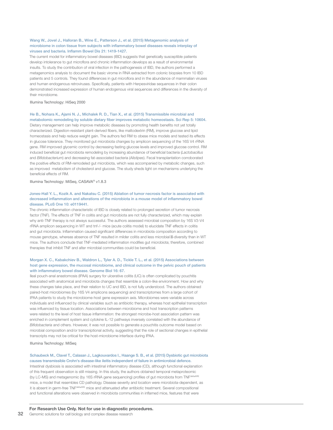### Wang W., Jovel J., Halloran B., Wine E., Patterson J., et al. (2015) Metagenomic analysis of microbiome in colon tissue from subjects with inflammatory bowel diseases reveals interplay of viruses and bacteria. Inflamm Bowel Dis 21: 1419-1427.

The current model for inflammatory bowel diseases (IBD) suggests that genetically susceptible patients develop intolerance to gut microflora and chronic inflammation develops as a result of environmental insults. To study the contribution of viral infection in the pathogenesis of IBD, the authors performed a metagenomics analysis to document the basic virome in RNA extracted from colonic biopsies from 10 IBD patients and 5 controls. They found differences in gut microflora and in the abundance of mammalian viruses and human endogenous retroviruses. Specifically, patients with Herpesviridae sequences in their colon demonstrated increased expression of human endogenous viral sequences and differences in the diversity of their microbiome.

#### Illumina Technology: HiSeq 2000

### He B., Nohara K., Ajami N. J., Michalek R. D., Tian X., et al. (2015) Transmissible microbial and metabolomic remodeling by soluble dietary fiber improves metabolic homeostasis. Sci Rep 5: 10604.

Dietary management can help improve metabolic diseases by promoting health benefits not yet totally characterized. Digestion-resistant plant-derived fibers, like maltodextrin (RM), improve glucose and lipid homeostasis and help reduce weight gain. The authors fed RM to obese mice models and tested its effects in glucose tolerance. They monitored gut microbiota changes by amplicon sequencing of the 16S V4 rRNA gene. RM improved glycemic control by decreasing fasting glucose levels and improved glucose control. RM induced beneficial gut microbiota remodeling by increasing abundance of beneficial bacteria (*Lactobacillus* and *Bifidobacterium*) and decreasing fat-associated bacteria (*Alistipes*). Fecal transplantation corroborated the positive effects of RM-remodeled gut microbiota, which was accompanied by metabolic changes, such as improved metabolism of cholesterol and glucose. The study sheds light on mechanisms underlying the beneficial effects of RM.

Illumina Technology: MiSeq, CASAVA® v1.8.3

### Jones-Hall Y. L., Kozik A. and Nakatsu C. (2015) Ablation of tumor necrosis factor is associated with decreased inflammation and alterations of the microbiota in a mouse model of inflammatory bowel disease. PLoS One 10: e0119441.

The chronic inflammation characteristic of IBD is closely related to prolonged secretion of tumor necrosis factor (TNF). The effects of TNF in colitis and gut microbiota are not fully characterized, which may explain why anti-TNF therapy is not always successful. The authors assessed microbial composition by 16S V3-V4 rRNA amplicon sequencing in WT and tnf-/- mice (acute colitis model) to elucidate TNF effects in colitis and gut microbiota. Inflammation caused significant differences in microbiota composition according to mouse genotype, whereas absence of TNF resulted in milder colitis and less microbial -diversity than in WT mice. The authors conclude that TNF-mediated inflammation modifies gut microbiota; therefore, combined therapies that inhibit TNF and alter microbial communities could be beneficial.

### Morgan X. C., Kabakchiev B., Waldron L., Tyler A. D., Tickle T. L., et al. (2015) Associations between host gene expression, the mucosal microbiome, and clinical outcome in the pelvic pouch of patients with inflammatory bowel disease. Genome Biol 16: 67.

Ileal pouch-anal anastomosis (IPAA) surgery for ulcerative colitis (UC) is often complicated by pouchitis associated with anatomical and microbiota changes that resemble a colon-like environment. How and why these changes take place, and their relation to UC and IBD, is not fully understood. The authors obtained paired-host microbiomes (by 16S V4 amplicons sequencing) and transcriptomes from a large cohort of IPAA patients to study the microbiome-host gene expression axis. Microbiomes were variable across individuals and influenced by clinical variables such as antibiotic therapy, whereas host epithelial transcription was influenced by tissue location. Associations between microbiome and host transcription patterns were related to the level of host tissue inflammation: the strongest microbe-host association pattern was enriched in complement system and cytokine IL-12 pathways inversely correlated with the abundance of *Bifidobacteria* and others. However, it was not possible to generate a pouchitis outcome model based on microbial composition and/or transcriptional activity, suggesting that the role of sectional changes in epithelial transcripts may not be critical for the host-microbiome interface during IPAA.

Illumina Technology: MiSeq

### Schaubeck M., Clavel T., Calasan J., Lagkouvardos I., Haange S. B., et al. (2015) Dysbiotic gut microbiota causes transmissible Crohn's disease-like ileitis independent of failure in antimicrobial defence.

Intestinal dysbiosis is associated with intestinal inflammatory disease (CD), although functional explanation of this frequent observation is still missing. In this study, the authors obtained temporal metaproteomic (by LC-MS) and metagenomic (by 16S rRNA gene sequencing) profiles of gut microbiota from TNF<sup>deltaARE</sup> mice, a model that resembles CD pathology. Disease severity and location were microbiota-dependent, as it is absent in germ-free TNF<sup>deltaARE</sup> mice and attenuated after antibiotic treatment. Several compositional and functional alterations were observed in microbiota communities in inflamed mice, features that were

### For Research Use Only. Not for use in diagnostic procedures.

32 Genomic solutions for cell biology and complex disease research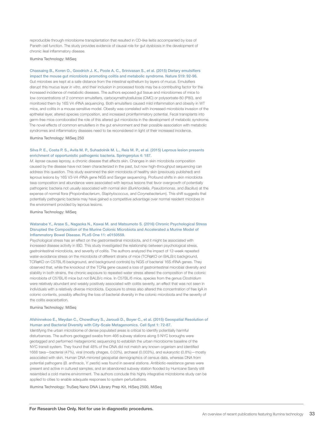reproducible through microbiome transplantation that resulted in CD-like ileitis accompanied by loss of Paneth cell function. The study provides evidence of causal role for gut dysbiosis in the development of chronic ileal inflammatory disease.

Illumina Technology: MiSeq

#### Chassaing B., Koren O., Goodrich J. K., Poole A. C., Srinivasan S., et al. (2015) Dietary emulsifiers impact the mouse gut microbiota promoting colitis and metabolic syndrome. Nature 519: 92-96.

Gut microbes are kept at a safe distance from the intestinal epithelium by layers of mucus. Emulsifiers disrupt this mucus layer *in vitro*, and their inclusion in processed foods may be a contributing factor for the increased incidence of metabolic diseases. The authors exposed gut tissue and microbiomes of mice to low concentrations of 2 common emulsifiers, carboxymethylcellulose (CMC) or polysorbate-80 (P80), and monitored them by 16S V4 rRNA sequencing. Both emulsifiers caused mild inflammation and obesity in WT mice, and colitis in a mouse sensitive model. Obesity was correlated with increased microbiota invasion of the epithelial layer, altered species composition, and increased proinflammatory potential. Fecal transplants into germ-free mice corroborated the role of this altered gut microbiota in the development of metabolic syndrome. The novel effects of common emulsifiers in the gut environment and their possible association with metabolic syndromes and inflammatory diseases need to be reconsidered in light of their increased incidence.

Illumina Technology: MiSeq 250

### Silva P. E., Costa P. S., Avila M. P., Suhadolnik M. L., Reis M. P., et al. (2015) Leprous lesion presents enrichment of opportunistic pathogenic bacteria. Springerplus 4: 187.

*M. leprae* causes leprosy, a chronic disease that affects skin. Changes in skin microbiota composition caused by the disease have not been characterized in the past, but now high-throughput sequencing can address this question. This study examined the skin microbiota of healthy skin (previously published) and leprous lesions by 16S V3-V4 rRNA gene NGS and Sanger sequencing. Profound shifts in skin microbiota taxa composition and abundance were associated with leprous lesions that favor overgrowth of potentially pathogenic bacteria not usually associated with normal skin (*Burkhordelia*, *Pseudomonas*, and *Bacillus*) at the expense of normal flora (*Propionibacterium*, *Staphylococcus*, and *Corynebacterium*). This shift suggests that potentially pathogenic bacteria may have gained a competitive advantage over normal resident microbes in the environment provided by leprous lesions.

Illumina Technology: MiSeq

### Watanabe Y., Arase S., Nagaoka N., Kawai M. and Matsumoto S. (2016) Chronic Psychological Stress Disrupted the Composition of the Murine Colonic Microbiota and Accelerated a Murine Model of Inflammatory Bowel Disease. PLoS One 11: e0150559.

Psychological stress has an effect on the gastrointestinal microbiota, and it might be associated with increased disease activity in IBD. This study investigated the relationship between psychological stress, gastrointestinal microbiota, and severity of colitis. The authors analyzed the impact of 12-week repeated water-avoidance stress on the microbiota of different strains of mice (TCRaKO on BALB/c background, TCRαKO on C57BL/6 background, and background controls) by NGS of bacterial 16S rRNA genes. They observed that, while the knockout of the TCRα gene caused a loss of gastrointestinal microbial diversity and stability in both strains, the chronic exposure to repeated water stress altered the composition of the colonic microbiota of C57BL/6 mice but not BALB/c mice. In C57BL/6 mice, species from the genus *Clostridium* were relatively abundant and weakly positively associated with colitis severity, an effect that was not seen in individuals with a relatively diverse microbiota. Exposure to stress also altered the concentration of free IgA in colonic contents, possibly affecting the loss of bacterial diversity in the colonic microbiota and the severity of the colitis exacerbation.

#### Illumina Technology: MiSeq

### Afshinnekoo E., Meydan C., Chowdhury S., Jaroudi D., Boyer C., et al. (2015) Geospatial Resolution of Human and Bacterial Diversity with City-Scale Metagenomics. Cell Syst 1: 72-87.

Identifying the urban microbiome of dense populated areas is critical to identify potentially harmful disturbances. The authors geotagged swabs from 466 subway stations along 5 NYC boroughs were geotagged and performed metagenomic sequencing to establish the urban microbiome baseline of the NYC transit system. They found that 48% of the DNA did not match any known organism and identified 1688 taxa—bacterial (47%), viral (mostly phages, 0.03%), archaeal (0.003%), and eukaryotic (0.8%)—mostly associated with skin. Human DNA mirrored geospatial demographics of census data, whereas DNA from potential pathogens (*B. anthracis*, *Y. pestis*) was found in several stations. Antibiotic-resistance genes were present and active in cultured samples, and an abandoned subway station flooded by Hurricane Sandy still resembled a cold marine environment. The authors conclude this highly integrative microbiome study can be applied to cities to enable adequate responses to system perturbations.

Illumina Technology: TruSeq Nano DNA Library Prep Kit, HiSeq 2500, MiSeq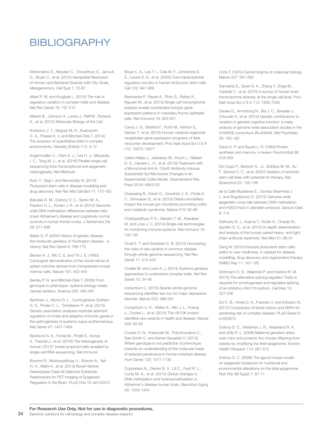### BIBLIOGRAPHY

Afshinnekoo E., Meydan C., Chowdhury S., Jaroudi D., Boyer C., et al. (2015) Geospatial Resolution of Human and Bacterial Diversity with City-Scale Metagenomics. Cell Syst 1: 72-87

Albert F. W. and Kruglyak L. (2015) The role of regulatory variation in complex traits and disease. Nat Rev Genet 16: 197-212

Alberts B., Johnson A., Lewis J., Raff M., Roberts K., et al. (2015) Molecular Biology of the Cell.

Anderson J. T., Wagner M. R., Rushworth C. A., Prasad K. V. and Mitchell-Olds T. (2014) The evolution of quantitative traits in complex environments. Heredity (Edinb) 112: 4-12

Angermueller C., Clark S. J., Lee H. J., Macaulay I. C., Teng M. J., et al. (2016) Parallel single-cell sequencing links transcriptional and epigenetic heterogeneity. Nat Methods

Avior Y., Sagi I. and Benvenisty N. (2016) Pluripotent stem cells in disease modelling and drug discovery. Nat Rev Mol Cell Biol 17: 170-182

Bakulski K. M., Dolinoy D. C., Sartor M. A., Paulson H. L., Konen J. R., et al. (2012) Genomewide DNA methylation differences between lateonset Alzheimer's disease and cognitively normal controls in human frontal cortex. J Alzheimers Dis 29: 571-588

Bates G. P. (2005) History of genetic disease: the molecular genetics of Huntington disease - a history. Nat Rev Genet 6: 766-773

Becker A. J., Mc C. E. and Till J. E. (1963) Cytological demonstration of the clonal nature of spleen colonies derived from transplanted mouse marrow cells. Nature 197: 452-454

Benfey P. N. and Mitchell-Olds T. (2008) From genotype to phenotype: systems biology meets natural variation. Science 320: 495-497

Bentham J., Morris D. L., Cunninghame Graham D. S., Pinder C. L., Tombleson P., et al. (2015) Genetic association analyses implicate aberrant regulation of innate and adaptive immunity genes in the pathogenesis of systemic lupus erythematosus. Nat Genet 47: 1457-1464

Bjorklund A. K., Forkel M., Picelli S., Konya V., Theorell J., et al. (2016) The heterogeneity of human CD127 innate lymphoid cells revealed by single-cell RNA sequencing. Nat Immunol

Bonomi R., Mukhopadhyay U., Shavrin A., Yeh H. H., Majhi A., et al. (2015) Novel Histone Deacetylase Class IIa Selective Substrate Radiotracers for PET Imaging of Epigenetic Regulation in the Brain. PLoS One 10: e0133512 Boyer L. A., Lee T. I., Cole M. F., Johnstone S. E., Levine S. S., et al. (2005) Core transcriptional regulatory circuitry in human embryonic stem cells. Cell 122: 947-956

Brennecke P., Reyes A., Pinto S., Rattay K., Nguyen M., et al. (2015) Single-cell transcriptome analysis reveals coordinated ectopic geneexpression patterns in medullary thymic epithelial cells. Nat Immunol 16: 933-941

Camp J. G., Badsha F., Florio M., Kanton S., Gerber T., et al. (2015) Human cerebral organoids recapitulate gene expression programs of fetal neocortex development. Proc Natl Acad Sci U S A 112: 15672-15677

Castro-Mejia J., Jakesevic M., Krych L., Nielsen D. S., Hansen L. H., et al. (2016) Treatment with a Monoclonal Anti-IL-12p40 Antibody Induces Substantial Gut Microbiota Changes in an Experimental Colitis Model. Gastroenterol Res Pract 2016: 4953120

Chassaing B., Koren O., Goodrich J. K., Poole A. C., Srinivasan S., et al. (2015) Dietary emulsifiers impact the mouse gut microbiota promoting colitis and metabolic syndrome. Nature 519: 92-96

Chattopadhyay P. K., Gierahn T. M., Roederer M. and Love J. C. (2014) Single-cell technologies for monitoring immune systems. Nat Immunol 15: 128-135

Cirulli E. T. and Goldstein D. B. (2010) Uncovering the roles of rare variants in common disease through whole-genome sequencing. Nat Rev Genet 11: 415-425

Civelek M. and Lusis A. J. (2014) Systems genetics approaches to understand complex traits. Nat Rev Genet 15: 34-48

consortium C. (2015) Sparse whole-genome sequencing identifies two loci for major depressive disorder. Nature 523: 588-591

Consortium U. K., Walter K., Min J. L., Huang J., Crooks L., et al. (2015) The UK10K project identifies rare variants in health and disease. Nature 526: 82-90

Cooper D. N., Krawczak M., Polychronakos C., Tyler-Smith C. and Kehrer-Sawatzki H. (2013) Where genotype is not predictive of phenotype: towards an understanding of the molecular basis of reduced penetrance in human inherited disease. Hum Genet 132: 1077-1130

Coppieters N., Dieriks B. V., Lill C., Faull R. L., Curtis M. A., et al. (2014) Global changes in DNA methylation and hydroxymethylation in Alzheimer's disease human brain. Neurobiol Aging 35: 1334-1344

Crick F. (1970) Central dogma of molecular biology. Nature 227: 561-563

Darmanis S., Sloan S. A., Zhang Y., Enge M., Caneda C., et al. (2015) A survey of human brain transcriptome diversity at the single cell level. Proc Natl Acad Sci U S A 112: 7285-7290

Davies G., Armstrong N., Bis J. C., Bressler J., Chouraki V., et al. (2015) Genetic contributions to variation in general cognitive function: a metaanalysis of genome-wide association studies in the CHARGE consortium (N=53949). Mol Psychiatry 20: 183-192

Davis H. P. and Squire L. R. (1984) Protein synthesis and memory: a review. Psychol Bull 96: 518-559

De Coppi P., Bartsch G., Jr., Siddiqui M. M., Xu T., Santos C. C., et al. (2007) Isolation of amniotic stem cell lines with potential for therapy. Nat Biotechnol 25: 100-106

de la Calle Mustienes E., Gomez-Skarmeta J. L. and Bogdanovic O. (2015) Genome-wide epigenetic cross-talk between DNA methylation and H3K27me3 in zebrafish embryos. Genom Data 6: 7-9

DeKosky B. J., Kojima T., Rodin A., Charab W., Ippolito G. C., et al. (2015) In-depth determination and analysis of the human paired heavy- and lightchain antibody repertoire. Nat Med 21: 86-91

Deng W. (2010) Induced pluripotent stem cells: paths to new medicines. A catalyst for disease modelling, drug discovery and regenerative therapy. EMBO Rep 11: 161-165

Dichmann D. S., Walentek P. and Harland R. M. (2015) The alternative splicing regulator Tra2b is required for somitogenesis and regulates splicing of an inhibitory Wnt11b isoform. Cell Rep 10: 527-536

Do C. B., Hinds D. A., Francke U. and Eriksson N. (2012) Comparison of family history and SNPs for predicting risk of complex disease. PLoS Genet 8: e1002973

Dolinoy D. C., Weidman J. R., Waterland R. A. and Jirtle R. L. (2006) Maternal genistein alters coat color and protects Avy mouse offspring from obesity by modifying the fetal epigenome. Environ Health Perspect 114: 567-572

Dolinoy D. C. (2008) The agouti mouse model: an epigenetic biosensor for nutritional and environmental alterations on the fetal epigenome. Nutr Rev 66 Suppl 1: S7-11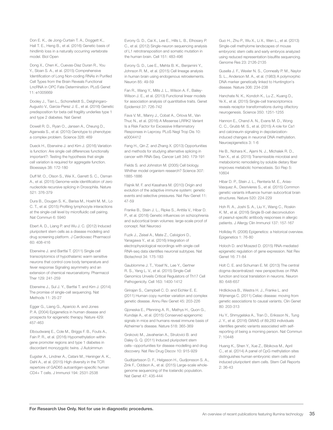Don E. K., de Jong-Curtain T. A., Doggett K., Hall T. E., Heng B., et al. (2016) Genetic basis of hindlimb loss in a naturally occurring vertebrate model. Biol Open

Dong X., Chen K., Cuevas-Diaz Duran R., You Y., Sloan S. A., et al. (2015) Comprehensive Identification of Long Non-coding RNAs in Purified Cell Types from the Brain Reveals Functional LncRNA in OPC Fate Determination. PLoS Genet 11: e1005669

Dooley J., Tian L., Schonefeldt S., Delghingaro-Augusto V., Garcia-Perez J. E., et al. (2016) Genetic predisposition for beta cell fragility underlies type 1 and type 2 diabetes. Nat Genet

Dowell R. D., Ryan O., Jansen A., Cheung D., Agarwala S., et al. (2010) Genotype to phenotype: a complex problem. Science 328: 469

Dueck H., Eberwine J. and Kim J. (2016) Variation is function: Are single cell differences functionally important?: Testing the hypothesis that single cell variation is required for aggregate function. Bioessays 38: 172-180

Duff M. O., Olson S., Wei X., Garrett S. C., Osman A., et al. (2015) Genome-wide identification of zero nucleotide recursive splicing in Drosophila. Nature 521: 376-379

Dura B., Dougan S. K., Barisa M., Hoehl M. M., Lo C. T., et al. (2015) Profiling lymphocyte interactions at the single-cell level by microfluidic cell pairing. Nat Commun 6: 5940

Ebert A. D., Liang P. and Wu J. C. (2012) Induced pluripotent stem cells as a disease modeling and drug screening platform. J Cardiovasc Pharmacol 60: 408-416

Eberwine J. and Bartfai T. (2011) Single cell transcriptomics of hypothalamic warm sensitive neurons that control core body temperature and fever response Signaling asymmetry and an extension of chemical neuroanatomy. Pharmacol Ther 129: 241-259

Eberwine J., Sul J. Y., Bartfai T. and Kim J. (2014) The promise of single-cell sequencing. Nat Methods 11: 25-27

Egger G., Liang G., Aparicio A. and Jones P. A. (2004) Epigenetics in human disease and prospects for epigenetic therapy. Nature 429: 457-463

Elboudwarej E., Cole M., Briggs F. B., Fouts A., Fain P. R., et al. (2016) Hypomethylation within gene promoter regions and type 1 diabetes in discordant monozygotic twins. J Autoimmun

Eugster A., Lindner A., Catani M., Heninger A. K., Dahl A., et al. (2015) High diversity in the TCR repertoire of GAD65 autoantigen-specific human CD4+ T cells. J Immunol 194: 2531-2538

Evrony G. D., Cai X., Lee E., Hills L. B., Elhosary P. C., et al. (2012) Single-neuron sequencing analysis of L1 retrotransposition and somatic mutation in the human brain. Cell 151: 483-496

Evrony G. D., Lee E., Mehta B. K., Benjamini Y., Johnson R. M., et al. (2015) Cell lineage analysis in human brain using endogenous retroelements. Neuron 85: 49-59

Fan R., Wang Y., Mills J. L., Wilson A. F., Bailey-Wilson J. E., et al. (2013) Functional linear models for association analysis of quantitative traits. Genet Epidemiol 37: 726-742

Fava V. M., Manry J., Cobat A., Orlova M., Van Thuc N., et al. (2016) A Missense LRRK2 Variant Is a Risk Factor for Excessive Inflammatory Responses in Leprosy. PLoS Negl Trop Dis 10: e0004412

Feng H., Qin Z. and Zhang X. (2013) Opportunities and methods for studying alternative splicing in cancer with RNA-Seq. Cancer Lett 340: 179-191

Fields S. and Johnston M. (2005) Cell biology. Whither model organism research? Science 307: 1885-1886

Flajnik M. F. and Kasahara M. (2010) Origin and evolution of the adaptive immune system: genetic events and selective pressures. Nat Rev Genet 11: 47-59

Franke B., Stein J. L., Ripke S., Anttila V., Hibar D. P., et al. (2016) Genetic influences on schizophrenia and subcortical brain volumes: large-scale proof of concept. Nat Neurosci

Fuzik J., Zeisel A., Mate Z., Calvigioni D., Yanagawa Y., et al. (2016) Integration of electrophysiological recordings with single-cell RNA-seq data identifies neuronal subtypes. Nat Biotechnol 34: 175-183

Gaublomme J. T., Yosef N., Lee Y., Gertner R. S., Yang L. V., et al. (2015) Single-Cell Genomics Unveils Critical Regulators of Th17 Cell Pathogenicity. Cell 163: 1400-1412

Girirajan S., Campbell C. D. and Eichler E. E. (2011) Human copy number variation and complex genetic disease. Annu Rev Genet 45: 203-226

Gjoneska E., Pfenning A. R., Mathys H., Quon G., Kundaje A., et al. (2015) Conserved epigenomic signals in mice and humans reveal immune basis of Alzheimer's disease. Nature 518: 365-369

Grskovic M., Javaherian A., Strulovici B. and Daley G. Q. (2011) Induced pluripotent stem cells--opportunities for disease modelling and drug discovery. Nat Rev Drug Discov 10: 915-929

Gudbjartsson D. F., Helgason H., Gudjonsson S. A., Zink F., Oddson A., et al. (2015) Large-scale wholegenome sequencing of the Icelandic population. Nat Genet 47: 435-444

Guo H., Zhu P., Wu X., Li X., Wen L., et al. (2013) Single-cell methylome landscapes of mouse embryonic stem cells and early embryos analyzed using reduced representation bisulfite sequencing. Genome Res 23: 2126-2135

Gusella J. F., Wexler N. S., Conneally P. M., Naylor S. L., Anderson M. A., et al. (1983) A polymorphic DNA marker genetically linked to Huntington's disease. Nature 306: 234-238

Hanchate N. K., Kondoh K., Lu Z., Kuang D., Ye X., et al. (2015) Single-cell transcriptomics reveals receptor transformations during olfactory neurogenesis. Science 350: 1251-1255

Hannon E., Chand A. N., Evans M. D., Wong C. C., Grubb M. S., et al. (2015) A role for Ca1 and calcineurin signaling in depolarizationinduced changes in neuronal DNA methylation. Neuroepigenetics 3: 1-6

He B., Nohara K., Ajami N. J., Michalek R. D., Tian X., et al. (2015) Transmissible microbial and metabolomic remodeling by soluble dietary fiber improves metabolic homeostasis. Sci Rep 5: 10604

Hibar D. P., Stein J. L., Renteria M. E., Arias-Vasquez A., Desrivieres S., et al. (2015) Common genetic variants influence human subcortical brain structures. Nature 520: 224-229

Hoh R. A., Joshi S. A., Liu Y., Wang C., Roskin K. M., et al. (2016) Single B-cell deconvolution of peanut-specific antibody responses in allergic patients. J Allergy Clin Immunol 137: 157-167

Holliday R. (2006) Epigenetics: a historical overview. Epigenetics 1: 76-80

Holoch D. and Moazed D. (2015) RNA-mediated epigenetic regulation of gene expression. Nat Rev Genet 16: 71-84

Holt C. E. and Schuman E. M. (2013) The central dogma decentralized: new perspectives on RNA function and local translation in neurons. Neuron 80: 648-657

Hrdlickova B., Westra H. J., Franke L. and Wijmenga C. (2011) Celiac disease: moving from genetic associations to causal variants. Clin Genet 80: 203-313

Hu Y., Shmygelska A., Tran D., Eriksson N., Tung J. Y., et al. (2016) GWAS of 89,283 individuals identifies genetic variants associated with selfreporting of being a morning person. Nat Commun 7: 10448

Huang K., Shen Y., Xue Z., Bibikova M., April C., et al. (2014) A panel of CpG methylation sites distinguishes human embryonic stem cells and induced pluripotent stem cells. Stem Cell Reports 2: 36-43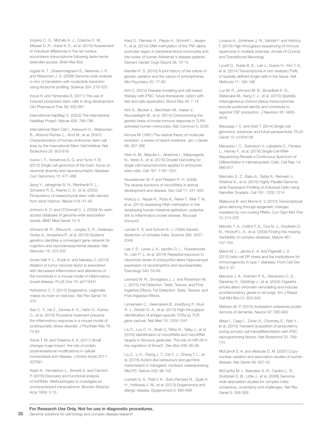Imperio C. G., McFalls A. J., Colechio E. M., Masser D. R., Vrana K. E., et al. (2015) Assessment of individual differences in the rat nucleus accumbens transcriptome following taste-heroin extended access. Brain Res Bull

Ingolia N. T., Ghaemmaghami S., Newman J. R. and Weissman J. S. (2009) Genome-wide analysis *in vivo* of translation with nucleotide resolution using ribosome profiling. Science 324: 218-223

Inoue H. and Yamanaka S. (2011) The use of induced pluripotent stem cells in drug development. Clin Pharmacol Ther 89: 655-661

International HapMap C. (2003) The International HapMap Project. Nature 426: 789-796

International Stem Cell I., Adewumi O., Aflatoonian B., Ahrlund-Richter L., Amit M., et al. (2007) Characterization of human embryonic stem cell lines by the International Stem Cell Initiative. Nat Biotechnol 25: 803-816

Iourov I. Y., Vorsanova S. G. and Yurov Y. B. (2012) Single cell genomics of the brain: focus on neuronal diversity and neuropsychiatric diseases. Curr Genomics 13: 477-488

Jiang Y., Jahagirdar B. N., Reinhardt R. L., Schwartz R. E., Keene C. D., et al. (2002) Pluripotency of mesenchymal stem cells derived from adult marrow. Nature 418: 41-49

Johnson A. D. and O'Donnell C. J. (2009) An open access database of genome-wide association results. BMC Med Genet 10: 6

Johnson M. R., Shkura K., Langley S. R., Delahaye-Duriez A., Srivastava P., et al. (2016) Systems genetics identifies a convergent gene network for cognition and neurodevelopmental disease. Nat Neurosci 19: 223-232

Jones-Hall Y. L., Kozik A. and Nakatsu C. (2015) Ablation of tumor necrosis factor is associated with decreased inflammation and alterations of the microbiota in a mouse model of inflammatory bowel disease. PLoS One 10: e0119441

Kahrstrom C. T. (2013) Epigenetics: Legionella makes its mark on histones. Nat Rev Genet 14: 370

Kao C. Y., He Z., Zannas A. S., Hahn O., Kuhne C., et al. (2016) Fluoxetine treatment prevents the inflammatory response in a mouse model of posttraumatic stress disorder. J Psychiatr Res 76: 74-83

Karve T. M. and Cheema A. K. (2011) Small changes huge impact: the role of protein posttranslational modifications in cellular homeostasis and disease. J Amino Acids 2011: 207691

Kashi K., Henderson L., Bonetti A. and Carninci P. (2016) Discovery and functional analysis of lncRNAs: Methodologies to investigate an uncharacterized transcriptome. Biochim Biophys Acta 1859: 3-15

Kaut O., Ramirez A., Pieper H., Schmitt I., Jessen F., et al. (2014) DNA methylation of the TNF-alpha promoter region in peripheral blood monocytes and the cortex of human Alzheimer's disease patients. Dement Geriatr Cogn Disord 38: 10-15

Kendler K. S. (2015) A joint history of the nature of genetic variation and the nature of schizophrenia. Mol Psychiatry 20: 77-83

Kim C. (2014) Disease modeling and cell based therapy with iPSC: future therapeutic option with fast and safe application. Blood Res 49: 7-14

Kim S., Becker J., Bechheim M., Kaiser V., Noursadeghi M., et al. (2014) Characterizing the genetic basis of innate immune response in TLR4 activated human monocytes. Nat Commun 5: 5236

Kimura M. (1991) The neutral theory of molecular evolution: a review of recent evidence. Jpn J Genet 66: 367-386

Klein A. M., Mazutis L., Akartuna I., Tallapragada N., Veres A., et al. (2015) Droplet barcoding for single-cell transcriptomics applied to embryonic stem cells. Cell 161: 1187-1201

Kloosterman W. P. and Plasterk R. H. (2006) The diverse functions of microRNAs in animal development and disease. Dev Cell 11: 441-450

Kraiczy J., Nayak K., Ross A., Raine T., Mak T. N., et al. (2015) Assessing DNA methylation in the developing human intestinal epithelium: potential link to inflammatory bowel disease. Mucosal Immunol

Lander E. S. and Schork N. J. (1994) Genetic dissection of complex traits. Science 265: 2037- 2048

Lee Y. S., Lewis J. A., Ippolito D. L., Hussainzada N., Lein P. J., et al. (2016) Repeated exposure to neurotoxic levels of chlorpyrifos alters hippocampal expression of neurotrophins and neuropeptides. Toxicology 340: 53-62

Leonard W. R., Snodgrass J. J. and Robertson M. L. (2010) Fat Detection: Taste, Texture, and Post Ingestive Effects. Fat Detection: Taste, Texture, and Post Ingestive Effects.

Linnemann C., Heemskerk B., Kvistborg P., Kluin R. J., Bolotin D. A., et al. (2013) High-throughput identification of antigen-specific TCRs by TCR gene capture. Nat Med 19: 1534-1541

Liu C., Lou C. H., Shah V., Ritter R., Talley J., et al. (2016) Identification of microRNAs and microRNA targets in Xenopus gastrulae: The role of miR-26 in the regulation of Smad1. Dev Biol 409: 26-38

Liu Z., Li X., Zhang J. T., Cai Y. J., Cheng T. L., et al. (2016) Autism-like behaviours and germline transmission in transgenic monkeys overexpressing MeCP2. Nature 530: 98-102

Lockett G. A., Patil V. K., Soto-Ramirez N., Ziyab A. H., Holloway J. W., et al. (2013) Epigenomics and allergic disease. Epigenomics 5: 685-699

Lossius A., Johansen J. N., Vartdal F. and Holmoy T. (2016) High-throughput sequencing of immune repertoires in multiple sclerosis. Annals of CLinical and Translational Neurology

Lovatt D., Ruble B. K., Lee J., Dueck H., Kim T. K., et al. (2014) Transcriptome *in vivo* analysis (TIVA) of spatially defined single cells in live tissue. Nat Methods 11: 190-196

Lun M. P., Johnson M. B., Broadbelt K. G., Watanabe M., Kang Y. J., et al. (2015) Spatially heterogeneous choroid plexus transcriptomes encode positional identity and contribute to regional CSF production. J Neurosci 35: 4903- 4916

Macaulay I. C. and Voet T. (2014) Single cell genomics: advances and future perspectives. PLoS Genet 10: e1004126

Macaulay I. C., Svensson V., Labalette C., Ferreira L., Hamey F., et al. (2016) Single-Cell RNA-Sequencing Reveals a Continuous Spectrum of Differentiation in Hematopoietic Cells. Cell Rep 14: 966-977

Macosko E. Z., Basu A., Satija R., Nemesh J., Shekhar K., et al. (2015) Highly Parallel Genomewide Expression Profiling of Individual Cells Using Nanoliter Droplets. Cell 161: 1202-1214

Malecova B. and Morris K. V. (2010) Transcriptional gene silencing through epigenetic changes mediated by non-coding RNAs. Curr Opin Mol Ther 12: 214-222

Manolio T. A., Collins F. S., Cox N. J., Goldstein D. B., Hindorff L. A., et al. (2009) Finding the missing heritability of complex diseases. Nature 461: 747-753

Marre M. L., James E. A. and Piganelli J. D. (2015) beta cell ER stress and the implications for immunogenicity in type 1 diabetes. Front Cell Dev Biol 3: 67

Marwick J. A., Kirkham P. A., Stevenson C. S., Danahay H., Giddings J., et al. (2004) Cigarette smoke alters chromatin remodeling and induces proinflammatory genes in rat lungs. Am J Respir Cell Mol Biol 31: 633-642

Mattson M. P. (2010) Acetylation unleashes protein demons of dementia. Neuron 67: 900-902

Maza I., Caspi I., Zviran A., Chomsky E., Rais Y., et al. (2015) Transient acquisition of pluripotency during somatic cell transdifferentiation with iPSC reprogramming factors. Nat Biotechnol 33: 769- 774

McCarroll S. A. and Altshuler D. M. (2007) Copynumber variation and association studies of human disease. Nat Genet 39: S37-42

McCarthy M. I., Abecasis G. R., Cardon L. R., Goldstein D. B., Little J., et al. (2008) Genomewide association studies for complex traits: consensus, uncertainty and challenges. Nat Rev Genet 9: 356-369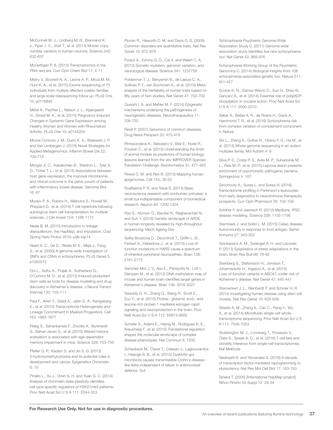McConnell M. J., Lindberg M. R., Brennand K. J., Piper J. C., Voet T., et al. (2013) Mosaic copy number variation in human neurons. Science 342: 632-637

McGettigan P. A. (2013) Transcriptomics in the RNA-seq era. Curr Opin Chem Biol 17: 4-11

Mistry V., Bockett N. A., Levine A. P., Mirza M. M., Hunt K. A., et al. (2015) Exome sequencing of 75 individuals from multiply affected coeliac families and large scale resequencing follow up. PLoS One 10: e0116845

Mittal A., Pachter L., Nelson J. L., Kjaergaard H., Smed M. K., et al. (2015) Pregnancy-Induced Changes in Systemic Gene Expression among Healthy Women and Women with Rheumatoid Arthritis. PLoS One 10: e0145204

Moore-Connors J. M., Dunn K. A., Bielawski J. P. and Van Limbergen J. (2016) Novel Strategies for Applied Metagenomics. Inflamm Bowel Dis 22: 709-718

Morgan X. C., Kabakchiev B., Waldron L., Tyler A. D., Tickle T. L., et al. (2015) Associations between host gene expression, the mucosal microbiome, and clinical outcome in the pelvic pouch of patients with inflammatory bowel disease. Genome Biol 16: 67

Muraro P. A., Robins H., Malhotra S., Howell M., Phippard D., et al. (2014) T cell repertoire following autologous stem cell transplantation for multiple sclerosis. J Clin Invest 124: 1168-1172

Neale B. M. (2010) Introduction to linkage disequilibrium, the HapMap, and imputation. Cold Spring Harb Protoc 2010: pdb top74

Need A. C., Ge D., Weale M. E., Maia J., Feng S., et al. (2009) A genome-wide investigation of SNPs and CNVs in schizophrenia. PLoS Genet 5: e1000373

Ooi L., Sidhu K., Poljak A., Sutherland G., O'Connor M. D., et al. (2013) Induced pluripotent stem cells as tools for disease modelling and drug discovery in Alzheimer's disease. J Neural Transm (Vienna) 120: 103-111

Paul F., Arkin Y., Giladi A., Jaitin D. A., Kenigsberg E., et al. (2015) Transcriptional Heterogeneity and Lineage Commitment in Myeloid Progenitors. Cell 163: 1663-1677

Peleg S., Sananbenesi F., Zovoilis A., Burkhardt S., Bahari-Javan S., et al. (2010) Altered histone acetylation is associated with age-dependent memory impairment in mice. Science 328: 753-756

Pfeifer G. P., Kadam S. and Jin S. G. (2013) 5-hydroxymethylcytosine and its potential roles in development and cancer. Epigenetics Chromatin 6: 10

Pinello L., Xu J., Orkin S. H. and Yuan G. C. (2014) Analysis of chromatin-state plasticity identifies cell-type-specific regulators of H3K27me3 patterns. Proc Natl Acad Sci U S A 111: E344-353

Plomin R., Haworth C. M. and Davis O. S. (2009). Common disorders are quantitative traits. Nat Rev Genet 10: 872-878

Poduri A., Evrony G. D., Cai X. and Walsh C. A. (2013) Somatic mutation, genomic variation, and neurological disease. Science 341: 1237758

Polderman T. J., Benyamin B., de Leeuw C. A., Sullivan P. F., van Bochoven A., et al. (2015) Metaanalysis of the heritability of human traits based on fifty years of twin studies. Nat Genet 47: 702-709

Qureshi I. A. and Mehler M. F. (2014) Epigenetic mechanisms underlying the pathogenesis of neurogenetic diseases. Neurotherapeutics 11: 708-720

Revill P. (2007) Genomics of common diseases. Drug News Perspect 20: 475-479

Rhrissorrakrai K., Belcastro V., Bilal E., Norel R., Poussin C., et al. (2015) Understanding the limits of animal models as predictors of human biology: lessons learned from the sbv IMPROVER Species Translation Challenge. Bioinformatics 31: 471-483

Rivera C. M. and Ren B. (2013) Mapping human epigenomes. Cell 155: 39-55

Roelfsema P. R. and Treue S. (2014) Basic neuroscience research with nonhuman primates: a small but indispensable component of biomedical research. Neuron 82: 1200-1204

Ryu S., Atzmon G., Barzilai N., Raghavachari N. and Suh Y. (2016) Genetic landscape of APOE in human longevity revealed by high-throughput sequencing. Mech Ageing Dev

Safka Brozkova D., Deconinck T., Griffin L. B., Ferbert A., Haberlova J., et al. (2015) Loss of function mutations in HARS cause a spectrum of inherited peripheral neuropathies. Brain 138: 2161-2172

Sanchez-Mut J. V., Aso E., Panayotis N., Lott I., Dierssen M., et al. (2013) DNA methylation map of mouse and human brain identifies target genes in Alzheimer's disease. Brain 136: 3018-3027

Sareddy G. R., Zhang Q., Wang R., Scott E., Zou Y., et al. (2015) Proline-, glutamic acid-, and leucine-rich protein 1 mediates estrogen rapid signaling and neuroprotection in the brain. Proc Natl Acad Sci U S A 112: E6673-6682

Schafer S., Adami E., Heinig M., Rodrigues K. E., Kreuchwig F., et al. (2015) Translational regulation shapes the molecular landscape of complex disease phenotypes. Nat Commun 6: 7200

Schaubeck M., Clavel T., Calasan J., Lagkouvardos I., Haange S. B., et al. (2015) Dysbiotic gut microbiota causes transmissible Crohn's diseaselike ileitis independent of failure in antimicrobial defence. Gut

Schizophrenia Psychiatric Genome-Wide Association Study C. (2011) Genome-wide association study identifies five new schizophrenia loci. Nat Genet 43: 969-976

Schizophrenia Working Group of the Psychiatric Genomics C. (2014) Biological insights from 108 schizophrenia-associated genetic loci. Nature 511: 421-427

Scobie K. N., Damez-Werno D., Sun H., Shao N., Gancarz A., et al. (2014) Essential role of poly(ADPribosyl)ation in cocaine action. Proc Natl Acad Sci U S A 111: 2005-2010

Sekar A., Bialas A. R., de Rivera H., Davis A., Hammond T. R., et al. (2016) Schizophrenia risk from complex variation of complement component 4. Nature

Shi L., Zhang X., Golhar R., Otieno F. G., He M., et al. (2013) Whole-genome sequencing in an autism multiplex family. Mol Autism 4: 8

Silva P. E., Costa P. S., Avila M. P., Suhadolnik M. L., Reis M. P., et al. (2015) Leprous lesion presents enrichment of opportunistic pathogenic bacteria. Springerplus 4: 187

Simchovitz A., Soreq L. and Soreq H. (2016) Transcriptome profiling in Parkinson's leukocytes: from early diagnostics to neuroimmune therapeutic prospects. Curr Opin Pharmacol 26: 102-109

Soldner F. and Jaenisch R. (2012) Medicine. iPSC disease modeling. Science 338: 1155-1156

Stamnaes J. and Sollid L. M. (2015) Celiac disease: Autoimmunity in response to food antigen. Semin Immunol 27: 343-352

Stankiewicz A. M., Swiergiel A. H. and Lisowski P. (2013) Epigenetics of stress adaptations in the brain. Brain Res Bull 98: 76-92

Steinberg S., Stefansson H., Jonsson T., Johannsdottir H., Ingason A., et al. (2015) Loss-of-function variants in ABCA7 confer risk of Alzheimer's disease. Nat Genet 47: 445-447

Sterneckert J. L., Reinhardt P. and Scholer H. R. (2014) Investigating human disease using stem cell models. Nat Rev Genet 15: 625-639

Streets A. M., Zhang X., Cao C., Pang Y., Wu X., et al. (2014) Microfluidic single-cell wholetranscriptome sequencing. Proc Natl Acad Sci U S A 111: 7048-7053

Stubbington M. J., Lonnberg T., Proserpio V., Clare S., Speak A. O., et al. (2016) T cell fate and clonality inference from single-cell transcriptomes. Nat Methods

Takahashi K. and Yamanaka S. (2016) A decade of transcription factor-mediated reprogramming to pluripotency. Nat Rev Mol Cell Biol 17: 183-193

Tanaka T. (2005) [International HapMap project]. Nihon Rinsho 63 Suppl 12: 29-34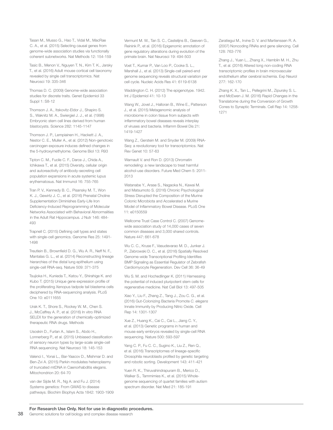Tasan M., Musso G., Hao T., Vidal M., MacRae C. A., et al. (2015) Selecting causal genes from genome-wide association studies via functionally coherent subnetworks. Nat Methods 12: 154-159

Tasic B., Menon V., Nguyen T. N., Kim T. K., Jarsky T., et al. (2016) Adult mouse cortical cell taxonomy revealed by single cell transcriptomics. Nat Neurosci 19: 335-346

Thomas D. C. (2009) Genome-wide association studies for discrete traits. Genet Epidemiol 33 Suppl 1: S8-12

Thomson J. A., Itskovitz-Eldor J., Shapiro S. S., Waknitz M. A., Swiergiel J. J., et al. (1998) Embryonic stem cell lines derived from human blastocysts. Science 282: 1145-1147

Thomson J. P., Lempiainen H., Hackett J. A., Nestor C. E., Muller A., et al. (2012) Non-genotoxic carcinogen exposure induces defined changes in the 5-hydroxymethylome. Genome Biol 13: R93

Tipton C. M., Fucile C. F., Darce J., Chida A., Ichikawa T., et al. (2015) Diversity, cellular origin and autoreactivity of antibody-secreting cell population expansions in acute systemic lupus erythematosus. Nat Immunol 16: 755-765

Tran P. V., Kennedy B. C., Pisansky M. T., Won K. J., Gewirtz J. C., et al. (2016) Prenatal Choline Supplementation Diminishes Early-Life Iron Deficiency-Induced Reprogramming of Molecular Networks Associated with Behavioral Abnormalities in the Adult Rat Hippocampus. J Nutr 146: 484- 493

Trapnell C. (2015) Defining cell types and states with single-cell genomics. Genome Res 25: 1491- 1498

Treutlein B., Brownfield D. G., Wu A. R., Neff N. F., Mantalas G. L., et al. (2014) Reconstructing lineage hierarchies of the distal lung epithelium using single-cell RNA-seq. Nature 509: 371-375

Tsujioka H., Kunieda T., Katou Y., Shirahige K. and Kubo T. (2015) Unique gene expression profile of the proliferating Xenopus tadpole tail blastema cells deciphered by RNA-sequencing analysis. PLoS One 10: e0111655

Urak K. T., Shore S., Rockey W. M., Chen S. J., McCaffrey A. P., et al. (2016) In vitro RNA SELEX for the generation of chemically-optimized therapeutic RNA drugs. Methods

Usoskin D., Furlan A., Islam S., Abdo H., Lonnerberg P., et al. (2015) Unbiased classification of sensory neuron types by large-scale single-cell RNA sequencing. Nat Neurosci 18: 145-153

Valenci I., Yonai L., Bar-Yaacov D., Mishmar D. and Ben-Zvi A. (2015) Parkin modulates heteroplasmy of truncated mtDNA in Caenorhabditis elegans. Mitochondrion 20: 64-70

van der Sijde M. R., Ng A. and Fu J. (2014) Systems genetics: From GWAS to disease pathways. Biochim Biophys Acta 1842: 1903-1909 Vermunt M. W., Tan S. C., Castellins B., Geeven G. Reinink P., et al. (2016) Epigenomic annotation of gene regulatory alterations during evolution of the primate brain. Nat Neurosci 19: 494-503

Voet T., Kumar P., Van Loo P., Cooke S. L., Marshall J., et al. (2013) Single-cell paired-end genome sequencing reveals structural variation per cell cycle. Nucleic Acids Res 41: 6119-6138

Waddington C. H. (2012) The epigenotype. 1942. Int J Epidemiol 41: 10-13

Wang W., Jovel J., Halloran B., Wine E., Patterson J., et al. (2015) Metagenomic analysis of microbiome in colon tissue from subjects with inflammatory bowel diseases reveals interplay of viruses and bacteria. Inflamm Bowel Dis 21: 1419-1427

Wang Z., Gerstein M. and Snyder M. (2009) RNA-Seq: a revolutionary tool for transcriptomics. Nat Rev Genet 10: 57-63

Warnault V. and Ron D. (2013) Chromatin remodeling: a new landscape to treat harmful alcohol-use disorders. Future Med Chem 5: 2011- 2013

Watanabe Y., Arase S., Nagaoka N., Kawai M. and Matsumoto S. (2016) Chronic Psychological Stress Disrupted the Composition of the Murine Colonic Microbiota and Accelerated a Murine Model of Inflammatory Bowel Disease. PLoS One 11: e0150559

Wellcome Trust Case Control C. (2007) Genomewide association study of 14,000 cases of seven common diseases and 3,000 shared controls. Nature 447: 661-678

Wu C. C., Kruse F., Vasudevarao M. D., Junker J. P., Zebrowski D. C., et al. (2016) Spatially Resolved Genome-wide Transcriptional Profiling Identifies BMP Signaling as Essential Regulator of Zebrafish Cardiomyocyte Regeneration. Dev Cell 36: 36-49

Wu S. M. and Hochedlinger K. (2011) Harnessing the potential of induced pluripotent stem cells for regenerative medicine. Nat Cell Biol 13: 497-505

Xiao Y., Liu F., Zhang Z., Tang J., Zou C. G., et al. (2016) Gut-Colonizing Bacteria Promote *C. elegans*  Innate Immunity by Producing Nitric Oxide. Cell Rep 14: 1301-1307

Xue Z., Huang K., Cai C., Cai L., Jiang C. Y., et al. (2013) Genetic programs in human and mouse early embryos revealed by single-cell RNA sequencing. Nature 500: 593-597

Yang C. P., Fu C. C., Sugino K., Liu Z., Ren Q., et al. (2016) Transcriptomes of lineage-specific Drosophila neuroblasts profiled by genetic targeting and robotic sorting. Development 143: 411-421

Yuen R. K., Thiruvahindrapuram B., Merico D., Walker S., Tammimies K., et al. (2015) Wholegenome sequencing of quartet families with autism spectrum disorder. Nat Med 21: 185-191

Zaratiegui M., Irvine D. V. and Martienssen R. A. (2007) Noncoding RNAs and gene silencing. Cell 128: 763-776

Zhang J., Yuan L., Zhang X., Hamblin M. H., Zhu T., et al. (2016) Altered long non-coding RNA transcriptomic profiles in brain microvascular endothelium after cerebral ischemia. Exp Neurol 277: 162-170

Zhang K. X., Tan L., Pellegrini M., Zipursky S. L. and McEwen J. M. (2016) Rapid Changes in the Translatome during the Conversion of Growth Cones to Synaptic Terminals. Cell Rep 14: 1258- 1271